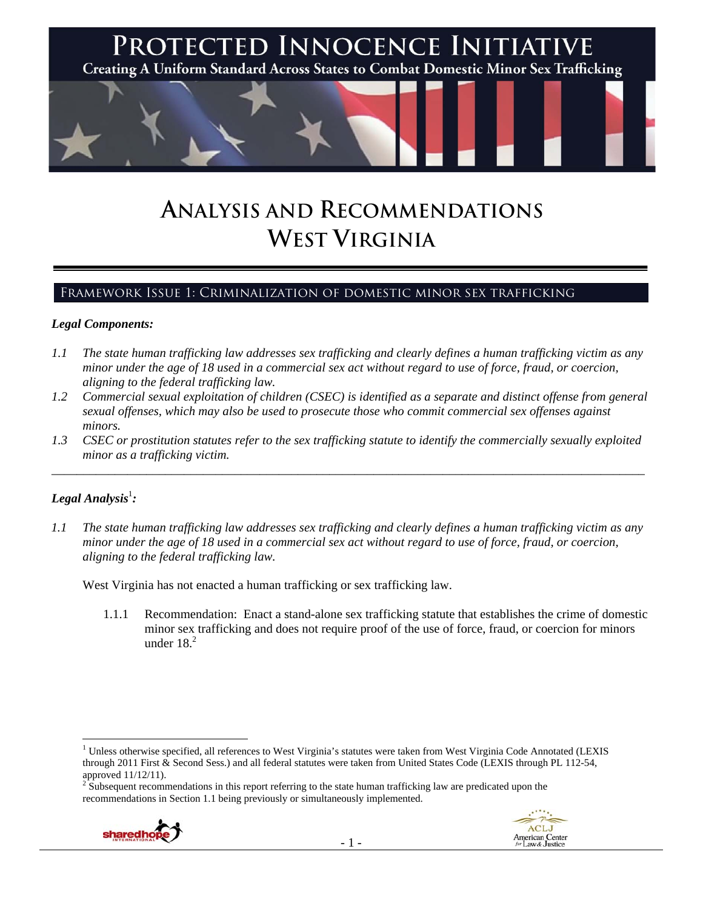

# **ANALYSIS AND RECOMMENDATIONS WEST VIRGINIA**

## Framework Issue 1: Criminalization of domestic minor sex trafficking

#### *Legal Components:*

- *1.1 The state human trafficking law addresses sex trafficking and clearly defines a human trafficking victim as any minor under the age of 18 used in a commercial sex act without regard to use of force, fraud, or coercion, aligning to the federal trafficking law.*
- *1.2 Commercial sexual exploitation of children (CSEC) is identified as a separate and distinct offense from general sexual offenses, which may also be used to prosecute those who commit commercial sex offenses against minors.*
- *1.3 CSEC or prostitution statutes refer to the sex trafficking statute to identify the commercially sexually exploited minor as a trafficking victim.*

\_\_\_\_\_\_\_\_\_\_\_\_\_\_\_\_\_\_\_\_\_\_\_\_\_\_\_\_\_\_\_\_\_\_\_\_\_\_\_\_\_\_\_\_\_\_\_\_\_\_\_\_\_\_\_\_\_\_\_\_\_\_\_\_\_\_\_\_\_\_\_\_\_\_\_\_\_\_\_\_\_\_\_\_\_\_\_\_\_\_\_\_\_\_

# ${\it Legal Analysis^!}$  :

*1.1 The state human trafficking law addresses sex trafficking and clearly defines a human trafficking victim as any minor under the age of 18 used in a commercial sex act without regard to use of force, fraud, or coercion, aligning to the federal trafficking law.*

West Virginia has not enacted a human trafficking or sex trafficking law.

1.1.1 Recommendation: Enact a stand-alone sex trafficking statute that establishes the crime of domestic minor sex trafficking and does not require proof of the use of force, fraud, or coercion for minors under  $18<sup>2</sup>$ 

<sup>&</sup>lt;sup>2</sup> Subsequent recommendations in this report referring to the state human trafficking law are predicated upon the recommendations in Section 1.1 being previously or simultaneously implemented.





<sup>&</sup>lt;sup>1</sup> Unless otherwise specified, all references to West Virginia's statutes were taken from West Virginia Code Annotated (LEXIS through 2011 First & Second Sess.) and all federal statutes were taken from United States Code (LEXIS through PL 112-54, approved 11/12/11).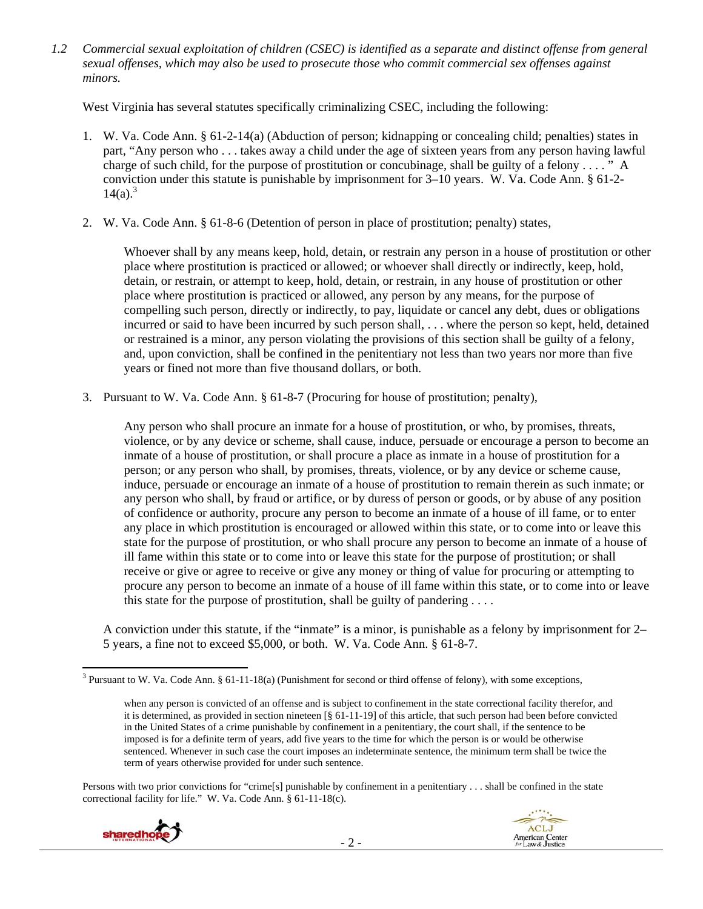*1.2 Commercial sexual exploitation of children (CSEC) is identified as a separate and distinct offense from general sexual offenses, which may also be used to prosecute those who commit commercial sex offenses against minors.*

West Virginia has several statutes specifically criminalizing CSEC, including the following:

- 1. W. Va. Code Ann. § 61-2-14(a) (Abduction of person; kidnapping or concealing child; penalties) states in part, "Any person who . . . takes away a child under the age of sixteen years from any person having lawful charge of such child, for the purpose of prostitution or concubinage, shall be guilty of a felony . . . . " A conviction under this statute is punishable by imprisonment for 3–10 years. W. Va. Code Ann. § 61-2-  $14(a)^{3}$
- 2. W. Va. Code Ann. § 61-8-6 (Detention of person in place of prostitution; penalty) states,

Whoever shall by any means keep, hold, detain, or restrain any person in a house of prostitution or other place where prostitution is practiced or allowed; or whoever shall directly or indirectly, keep, hold, detain, or restrain, or attempt to keep, hold, detain, or restrain, in any house of prostitution or other place where prostitution is practiced or allowed, any person by any means, for the purpose of compelling such person, directly or indirectly, to pay, liquidate or cancel any debt, dues or obligations incurred or said to have been incurred by such person shall, . . . where the person so kept, held, detained or restrained is a minor, any person violating the provisions of this section shall be guilty of a felony, and, upon conviction, shall be confined in the penitentiary not less than two years nor more than five years or fined not more than five thousand dollars, or both.

3. Pursuant to W. Va. Code Ann. § 61-8-7 (Procuring for house of prostitution; penalty),

Any person who shall procure an inmate for a house of prostitution, or who, by promises, threats, violence, or by any device or scheme, shall cause, induce, persuade or encourage a person to become an inmate of a house of prostitution, or shall procure a place as inmate in a house of prostitution for a person; or any person who shall, by promises, threats, violence, or by any device or scheme cause, induce, persuade or encourage an inmate of a house of prostitution to remain therein as such inmate; or any person who shall, by fraud or artifice, or by duress of person or goods, or by abuse of any position of confidence or authority, procure any person to become an inmate of a house of ill fame, or to enter any place in which prostitution is encouraged or allowed within this state, or to come into or leave this state for the purpose of prostitution, or who shall procure any person to become an inmate of a house of ill fame within this state or to come into or leave this state for the purpose of prostitution; or shall receive or give or agree to receive or give any money or thing of value for procuring or attempting to procure any person to become an inmate of a house of ill fame within this state, or to come into or leave this state for the purpose of prostitution, shall be guilty of pandering  $\dots$ .

A conviction under this statute, if the "inmate" is a minor, is punishable as a felony by imprisonment for 2– 5 years, a fine not to exceed \$5,000, or both. W. Va. Code Ann. § 61-8-7.

Persons with two prior convictions for "crime[s] punishable by confinement in a penitentiary . . . shall be confined in the state correctional facility for life." W. Va. Code Ann. § 61-11-18(c).





 <sup>3</sup> Pursuant to W. Va. Code Ann. § 61-11-18(a) (Punishment for second or third offense of felony), with some exceptions,

when any person is convicted of an offense and is subject to confinement in the state correctional facility therefor, and it is determined, as provided in section nineteen [§ 61-11-19] of this article, that such person had been before convicted in the United States of a crime punishable by confinement in a penitentiary, the court shall, if the sentence to be imposed is for a definite term of years, add five years to the time for which the person is or would be otherwise sentenced. Whenever in such case the court imposes an indeterminate sentence, the minimum term shall be twice the term of years otherwise provided for under such sentence.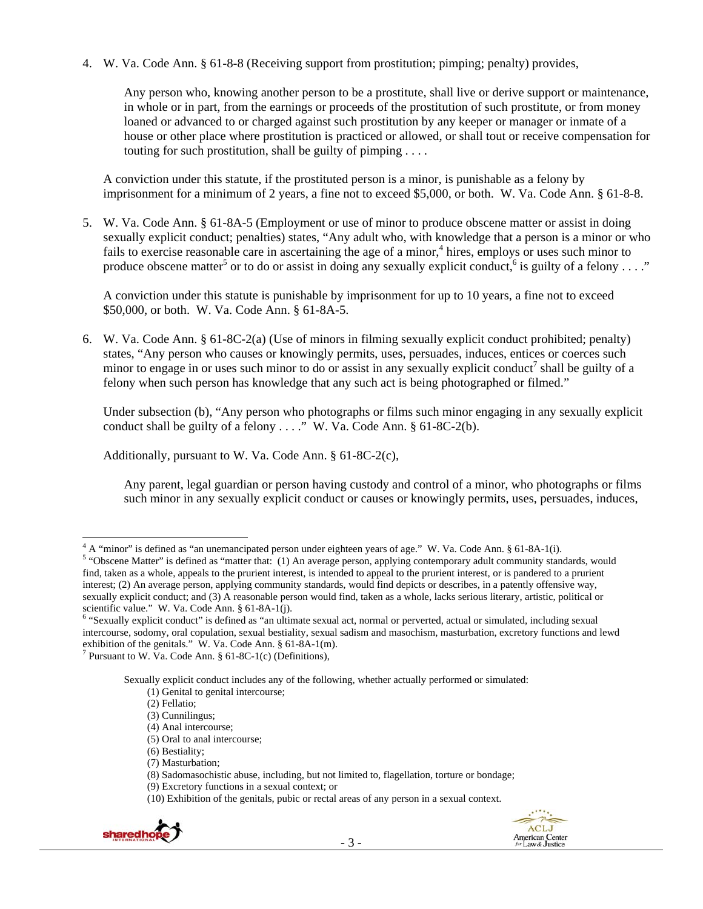4. W. Va. Code Ann. § 61-8-8 (Receiving support from prostitution; pimping; penalty) provides,

Any person who, knowing another person to be a prostitute, shall live or derive support or maintenance, in whole or in part, from the earnings or proceeds of the prostitution of such prostitute, or from money loaned or advanced to or charged against such prostitution by any keeper or manager or inmate of a house or other place where prostitution is practiced or allowed, or shall tout or receive compensation for touting for such prostitution, shall be guilty of pimping  $\ldots$ .

A conviction under this statute, if the prostituted person is a minor, is punishable as a felony by imprisonment for a minimum of 2 years, a fine not to exceed \$5,000, or both. W. Va. Code Ann. § 61-8-8.

5. W. Va. Code Ann. § 61-8A-5 (Employment or use of minor to produce obscene matter or assist in doing sexually explicit conduct; penalties) states, "Any adult who, with knowledge that a person is a minor or who fails to exercise reasonable care in ascertaining the age of a minor,<sup>4</sup> hires, employs or uses such minor to produce obscene matter<sup>5</sup> or to do or assist in doing any sexually explicit conduct,<sup>6</sup> is guilty of a felony ...."

A conviction under this statute is punishable by imprisonment for up to 10 years, a fine not to exceed \$50,000, or both. W. Va. Code Ann. § 61-8A-5.

6. W. Va. Code Ann. § 61-8C-2(a) (Use of minors in filming sexually explicit conduct prohibited; penalty) states, "Any person who causes or knowingly permits, uses, persuades, induces, entices or coerces such minor to engage in or uses such minor to do or assist in any sexually explicit conduct<sup>7</sup> shall be guilty of a felony when such person has knowledge that any such act is being photographed or filmed."

Under subsection (b), "Any person who photographs or films such minor engaging in any sexually explicit conduct shall be guilty of a felony  $\dots$ ." W. Va. Code Ann. § 61-8C-2(b).

Additionally, pursuant to W. Va. Code Ann. § 61-8C-2(c),

Any parent, legal guardian or person having custody and control of a minor, who photographs or films such minor in any sexually explicit conduct or causes or knowingly permits, uses, persuades, induces,

<sup>7</sup> Pursuant to W. Va. Code Ann.  $\S$  61-8C-1(c) (Definitions),

Sexually explicit conduct includes any of the following, whether actually performed or simulated:

 <sup>(10)</sup> Exhibition of the genitals, pubic or rectal areas of any person in a sexual context.



<sup>&</sup>lt;sup>4</sup> A "minor" is defined as "an unemancipated person under eighteen years of age." W. Va. Code Ann. § 61-8A-1(i).<br><sup>5</sup> "Obseans Mattar" is defined as "mattar that. (1) An ayerses person, applying agatemparary edult communit

<sup>&</sup>lt;sup>5</sup> "Obscene Matter" is defined as "matter that: (1) An average person, applying contemporary adult community standards, would find, taken as a whole, appeals to the prurient interest, is intended to appeal to the prurient interest, or is pandered to a prurient interest; (2) An average person, applying community standards, would find depicts or describes, in a patently offensive way, sexually explicit conduct; and (3) A reasonable person would find, taken as a whole, lacks serious literary, artistic, political or scientific value." W. Va. Code Ann. § 61-8A-1(j).

<sup>6</sup> "Sexually explicit conduct" is defined as "an ultimate sexual act, normal or perverted, actual or simulated, including sexual intercourse, sodomy, oral copulation, sexual bestiality, sexual sadism and masochism, masturbation, excretory functions and lewd exhibition of the genitals." W. Va. Code Ann. § 61-8A-1(m).

 <sup>(1)</sup> Genital to genital intercourse;

 <sup>(2)</sup> Fellatio;

 <sup>(3)</sup> Cunnilingus;

 <sup>(4)</sup> Anal intercourse;

 <sup>(5)</sup> Oral to anal intercourse;

 <sup>(6)</sup> Bestiality;

 <sup>(7)</sup> Masturbation;

 <sup>(8)</sup> Sadomasochistic abuse, including, but not limited to, flagellation, torture or bondage;

 <sup>(9)</sup> Excretory functions in a sexual context; or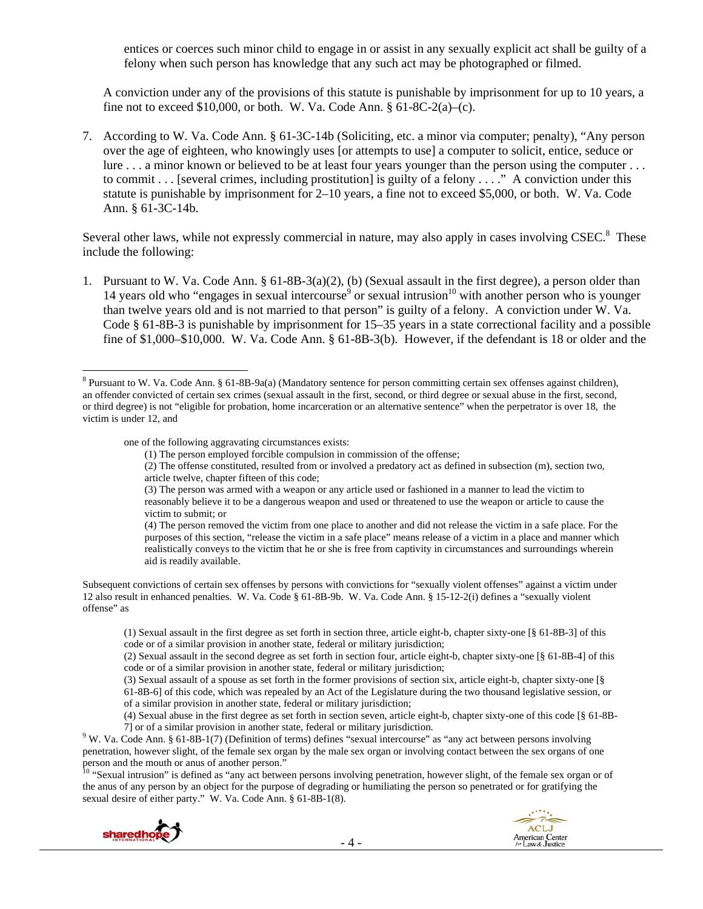entices or coerces such minor child to engage in or assist in any sexually explicit act shall be guilty of a felony when such person has knowledge that any such act may be photographed or filmed.

A conviction under any of the provisions of this statute is punishable by imprisonment for up to 10 years, a fine not to exceed \$10,000, or both. W. Va. Code Ann.  $\S 61-8C-2(a)-(c)$ .

7. According to W. Va. Code Ann. § 61-3C-14b (Soliciting, etc. a minor via computer; penalty), "Any person over the age of eighteen, who knowingly uses [or attempts to use] a computer to solicit, entice, seduce or lure . . . a minor known or believed to be at least four years younger than the person using the computer . . . to commit  $\ldots$  [several crimes, including prostitution] is guilty of a felony  $\ldots$ ." A conviction under this statute is punishable by imprisonment for 2–10 years, a fine not to exceed \$5,000, or both. W. Va. Code Ann. § 61-3C-14b.

Several other laws, while not expressly commercial in nature, may also apply in cases involving CSEC.<sup>8</sup> These include the following:

1. Pursuant to W. Va. Code Ann. § 61-8B-3(a)(2), (b) (Sexual assault in the first degree), a person older than 14 years old who "engages in sexual intercourse<sup>9</sup> or sexual intrusion<sup>10</sup> with another person who is younger than twelve years old and is not married to that person" is guilty of a felony. A conviction under W. Va. Code § 61-8B-3 is punishable by imprisonment for 15–35 years in a state correctional facility and a possible fine of \$1,000–\$10,000. W. Va. Code Ann. § 61-8B-3(b). However, if the defendant is 18 or older and the

one of the following aggravating circumstances exists:

(2) The offense constituted, resulted from or involved a predatory act as defined in subsection (m), section two, article twelve, chapter fifteen of this code;

(3) The person was armed with a weapon or any article used or fashioned in a manner to lead the victim to reasonably believe it to be a dangerous weapon and used or threatened to use the weapon or article to cause the victim to submit; or

(4) The person removed the victim from one place to another and did not release the victim in a safe place. For the purposes of this section, "release the victim in a safe place" means release of a victim in a place and manner which realistically conveys to the victim that he or she is free from captivity in circumstances and surroundings wherein aid is readily available.

Subsequent convictions of certain sex offenses by persons with convictions for "sexually violent offenses" against a victim under 12 also result in enhanced penalties. W. Va. Code § 61-8B-9b. W. Va. Code Ann. § 15-12-2(i) defines a "sexually violent offense" as

<sup>&</sup>lt;sup>10</sup> "Sexual intrusion" is defined as "any act between persons involving penetration, however slight, of the female sex organ or of the anus of any person by an object for the purpose of degrading or humiliating the person so penetrated or for gratifying the sexual desire of either party." W. Va. Code Ann. § 61-8B-1(8).





<sup>&</sup>lt;sup>8</sup> Pursuant to W. Va. Code Ann. § 61-8B-9a(a) (Mandatory sentence for person committing certain sex offenses against children), an offender convicted of certain sex crimes (sexual assault in the first, second, or third degree or sexual abuse in the first, second, or third degree) is not "eligible for probation, home incarceration or an alternative sentence" when the perpetrator is over 18, the victim is under 12, and

<sup>(1)</sup> The person employed forcible compulsion in commission of the offense;

<sup>(1)</sup> Sexual assault in the first degree as set forth in section three, article eight-b, chapter sixty-one [§ 61-8B-3] of this code or of a similar provision in another state, federal or military jurisdiction;

<sup>(2)</sup> Sexual assault in the second degree as set forth in section four, article eight-b, chapter sixty-one [§ 61-8B-4] of this code or of a similar provision in another state, federal or military jurisdiction;

<sup>(3)</sup> Sexual assault of a spouse as set forth in the former provisions of section six, article eight-b, chapter sixty-one [§ 61-8B-6] of this code, which was repealed by an Act of the Legislature during the two thousand legislative session, or

of a similar provision in another state, federal or military jurisdiction;

<sup>(4)</sup> Sexual abuse in the first degree as set forth in section seven, article eight-b, chapter sixty-one of this code [§ 61-8B-

<sup>&</sup>lt;sup>9</sup> W. Va. Code Ann. § 61-8B-1(7) (Definition of terms) defines "sexual intercourse" as "any act between persons involving <sup>9</sup> W. Va. Code Ann. § 61-8B-1(7) (Definition of terms) defines "sexual intercourse" as "any act b penetration, however slight, of the female sex organ by the male sex organ or involving contact between the sex organs of one person and the mouth or anus of another person."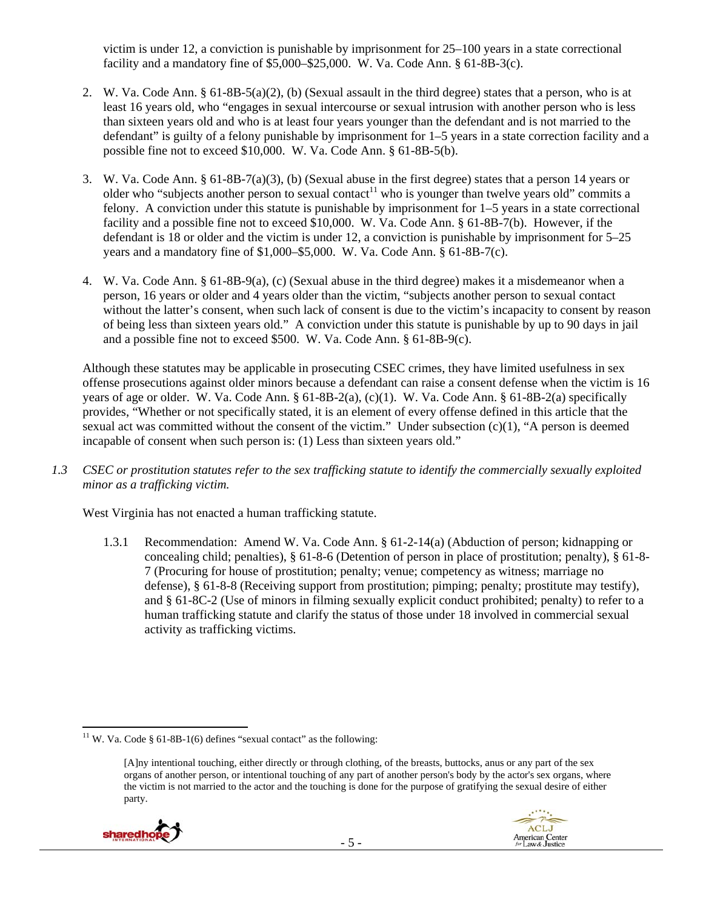victim is under 12, a conviction is punishable by imprisonment for 25–100 years in a state correctional facility and a mandatory fine of  $$5,000–$25,000$ . W. Va. Code Ann. § 61-8B-3(c).

- 2. W. Va. Code Ann. § 61-8B-5(a)(2), (b) (Sexual assault in the third degree) states that a person, who is at least 16 years old, who "engages in sexual intercourse or sexual intrusion with another person who is less than sixteen years old and who is at least four years younger than the defendant and is not married to the defendant" is guilty of a felony punishable by imprisonment for 1–5 years in a state correction facility and a possible fine not to exceed \$10,000. W. Va. Code Ann. § 61-8B-5(b).
- 3. W. Va. Code Ann. § 61-8B-7(a)(3), (b) (Sexual abuse in the first degree) states that a person 14 years or older who "subjects another person to sexual contact<sup>11</sup> who is younger than twelve years old" commits a felony. A conviction under this statute is punishable by imprisonment for 1–5 years in a state correctional facility and a possible fine not to exceed \$10,000. W. Va. Code Ann. § 61-8B-7(b). However, if the defendant is 18 or older and the victim is under 12, a conviction is punishable by imprisonment for 5–25 years and a mandatory fine of \$1,000–\$5,000. W. Va. Code Ann. § 61-8B-7(c).
- 4. W. Va. Code Ann. § 61-8B-9(a), (c) (Sexual abuse in the third degree) makes it a misdemeanor when a person, 16 years or older and 4 years older than the victim, "subjects another person to sexual contact without the latter's consent, when such lack of consent is due to the victim's incapacity to consent by reason of being less than sixteen years old." A conviction under this statute is punishable by up to 90 days in jail and a possible fine not to exceed \$500. W. Va. Code Ann. § 61-8B-9(c).

Although these statutes may be applicable in prosecuting CSEC crimes, they have limited usefulness in sex offense prosecutions against older minors because a defendant can raise a consent defense when the victim is 16 years of age or older. W. Va. Code Ann. § 61-8B-2(a), (c)(1). W. Va. Code Ann. § 61-8B-2(a) specifically provides, "Whether or not specifically stated, it is an element of every offense defined in this article that the sexual act was committed without the consent of the victim." Under subsection  $(c)(1)$ , "A person is deemed incapable of consent when such person is: (1) Less than sixteen years old."

*1.3 CSEC or prostitution statutes refer to the sex trafficking statute to identify the commercially sexually exploited minor as a trafficking victim.*

West Virginia has not enacted a human trafficking statute.

1.3.1 Recommendation: Amend W. Va. Code Ann. § 61-2-14(a) (Abduction of person; kidnapping or concealing child; penalties), § 61-8-6 (Detention of person in place of prostitution; penalty), § 61-8- 7 (Procuring for house of prostitution; penalty; venue; competency as witness; marriage no defense), § 61-8-8 (Receiving support from prostitution; pimping; penalty; prostitute may testify), and § 61-8C-2 (Use of minors in filming sexually explicit conduct prohibited; penalty) to refer to a human trafficking statute and clarify the status of those under 18 involved in commercial sexual activity as trafficking victims.

<sup>[</sup>A]ny intentional touching, either directly or through clothing, of the breasts, buttocks, anus or any part of the sex organs of another person, or intentional touching of any part of another person's body by the actor's sex organs, where the victim is not married to the actor and the touching is done for the purpose of gratifying the sexual desire of either party.





 <sup>11</sup> W. Va. Code § 61-8B-1(6) defines "sexual contact" as the following: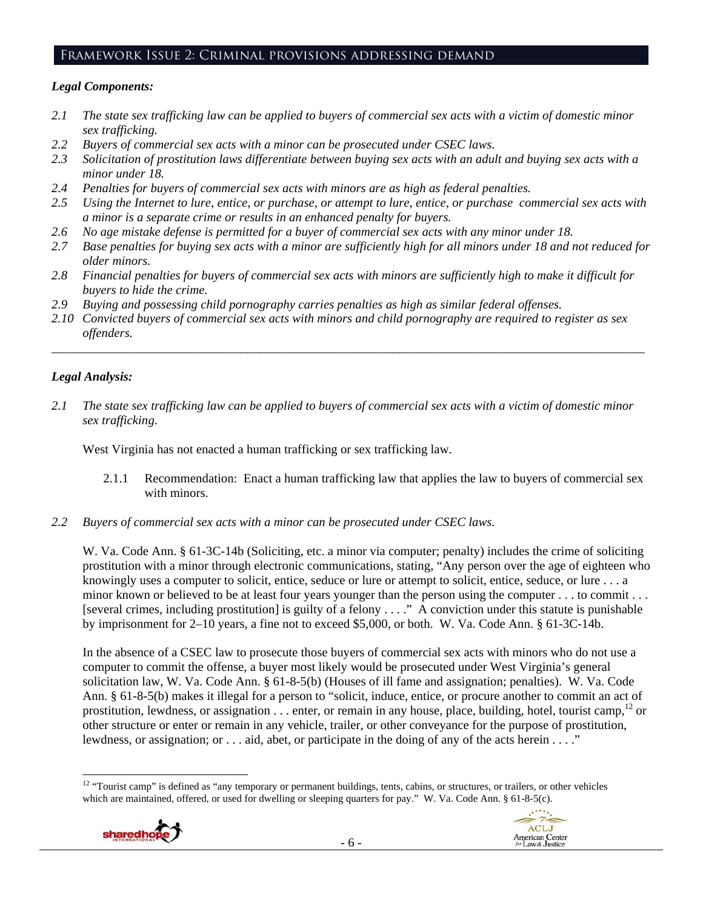## Framework Issue 2: Criminal provisions addressing demand

#### *Legal Components:*

- *2.1 The state sex trafficking law can be applied to buyers of commercial sex acts with a victim of domestic minor sex trafficking.*
- *2.2 Buyers of commercial sex acts with a minor can be prosecuted under CSEC laws.*
- *2.3 Solicitation of prostitution laws differentiate between buying sex acts with an adult and buying sex acts with a minor under 18.*
- *2.4 Penalties for buyers of commercial sex acts with minors are as high as federal penalties.*
- *2.5 Using the Internet to lure, entice, or purchase, or attempt to lure, entice, or purchase commercial sex acts with a minor is a separate crime or results in an enhanced penalty for buyers.*
- *2.6 No age mistake defense is permitted for a buyer of commercial sex acts with any minor under 18.*
- *2.7 Base penalties for buying sex acts with a minor are sufficiently high for all minors under 18 and not reduced for older minors.*
- *2.8 Financial penalties for buyers of commercial sex acts with minors are sufficiently high to make it difficult for buyers to hide the crime.*
- *2.9 Buying and possessing child pornography carries penalties as high as similar federal offenses.*
- *2.10 Convicted buyers of commercial sex acts with minors and child pornography are required to register as sex offenders.*

\_\_\_\_\_\_\_\_\_\_\_\_\_\_\_\_\_\_\_\_\_\_\_\_\_\_\_\_\_\_\_\_\_\_\_\_\_\_\_\_\_\_\_\_\_\_\_\_\_\_\_\_\_\_\_\_\_\_\_\_\_\_\_\_\_\_\_\_\_\_\_\_\_\_\_\_\_\_\_\_\_\_\_\_\_\_\_\_\_\_\_\_\_\_

## *Legal Analysis:*

*2.1 The state sex trafficking law can be applied to buyers of commercial sex acts with a victim of domestic minor sex trafficking.*

West Virginia has not enacted a human trafficking or sex trafficking law.

- 2.1.1 Recommendation: Enact a human trafficking law that applies the law to buyers of commercial sex with minors.
- *2.2 Buyers of commercial sex acts with a minor can be prosecuted under CSEC laws.*

W. Va. Code Ann. § 61-3C-14b (Soliciting, etc. a minor via computer; penalty) includes the crime of soliciting prostitution with a minor through electronic communications, stating, "Any person over the age of eighteen who knowingly uses a computer to solicit, entice, seduce or lure or attempt to solicit, entice, seduce, or lure . . . a minor known or believed to be at least four years younger than the person using the computer . . . to commit . . . [several crimes, including prostitution] is guilty of a felony . . . ." A conviction under this statute is punishable by imprisonment for 2–10 years, a fine not to exceed \$5,000, or both. W. Va. Code Ann. § 61-3C-14b.

In the absence of a CSEC law to prosecute those buyers of commercial sex acts with minors who do not use a computer to commit the offense, a buyer most likely would be prosecuted under West Virginia's general solicitation law, W. Va. Code Ann. § 61-8-5(b) (Houses of ill fame and assignation; penalties). W. Va. Code Ann. § 61-8-5(b) makes it illegal for a person to "solicit, induce, entice, or procure another to commit an act of prostitution, lewdness, or assignation  $\dots$  enter, or remain in any house, place, building, hotel, tourist camp,<sup>12</sup> or other structure or enter or remain in any vehicle, trailer, or other conveyance for the purpose of prostitution, lewdness, or assignation; or . . . aid, abet, or participate in the doing of any of the acts herein . . . ."

 <sup>12</sup> "Tourist camp" is defined as "any temporary or permanent buildings, tents, cabins, or structures, or trailers, or other vehicles which are maintained, offered, or used for dwelling or sleeping quarters for pay." W. Va. Code Ann. § 61-8-5(c).



**ACLJ**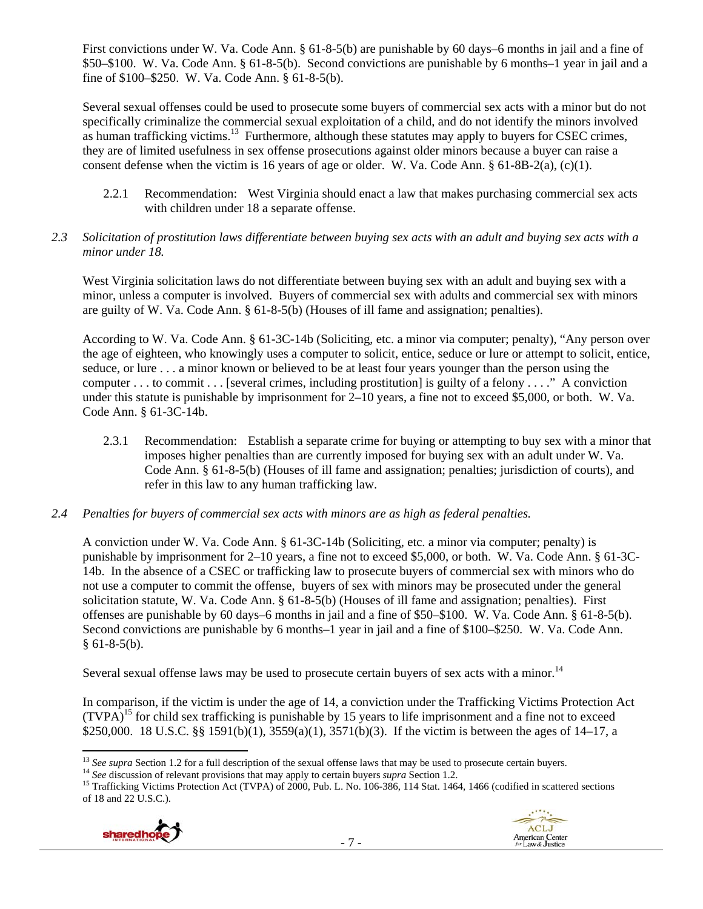First convictions under W. Va. Code Ann. § 61-8-5(b) are punishable by 60 days–6 months in jail and a fine of \$50–\$100. W. Va. Code Ann. § 61-8-5(b). Second convictions are punishable by 6 months–1 year in jail and a fine of \$100–\$250. W. Va. Code Ann. § 61-8-5(b).

Several sexual offenses could be used to prosecute some buyers of commercial sex acts with a minor but do not specifically criminalize the commercial sexual exploitation of a child, and do not identify the minors involved as human trafficking victims.<sup>13</sup> Furthermore, although these statutes may apply to buyers for CSEC crimes, they are of limited usefulness in sex offense prosecutions against older minors because a buyer can raise a consent defense when the victim is 16 years of age or older. W. Va. Code Ann. § 61-8B-2(a), (c)(1).

2.2.1 Recommendation: West Virginia should enact a law that makes purchasing commercial sex acts with children under 18 a separate offense.

## *2.3 Solicitation of prostitution laws differentiate between buying sex acts with an adult and buying sex acts with a minor under 18.*

West Virginia solicitation laws do not differentiate between buying sex with an adult and buying sex with a minor, unless a computer is involved. Buyers of commercial sex with adults and commercial sex with minors are guilty of W. Va. Code Ann. § 61-8-5(b) (Houses of ill fame and assignation; penalties).

According to W. Va. Code Ann. § 61-3C-14b (Soliciting, etc. a minor via computer; penalty), "Any person over the age of eighteen, who knowingly uses a computer to solicit, entice, seduce or lure or attempt to solicit, entice, seduce, or lure . . . a minor known or believed to be at least four years younger than the person using the computer . . . to commit . . . [several crimes, including prostitution] is guilty of a felony . . . ." A conviction under this statute is punishable by imprisonment for 2–10 years, a fine not to exceed \$5,000, or both. W. Va. Code Ann. § 61-3C-14b.

- 2.3.1 Recommendation: Establish a separate crime for buying or attempting to buy sex with a minor that imposes higher penalties than are currently imposed for buying sex with an adult under W. Va. Code Ann. § 61-8-5(b) (Houses of ill fame and assignation; penalties; jurisdiction of courts), and refer in this law to any human trafficking law.
- *2.4 Penalties for buyers of commercial sex acts with minors are as high as federal penalties.*

A conviction under W. Va. Code Ann. § 61-3C-14b (Soliciting, etc. a minor via computer; penalty) is punishable by imprisonment for 2–10 years, a fine not to exceed \$5,000, or both. W. Va. Code Ann. § 61-3C-14b. In the absence of a CSEC or trafficking law to prosecute buyers of commercial sex with minors who do not use a computer to commit the offense, buyers of sex with minors may be prosecuted under the general solicitation statute, W. Va. Code Ann. § 61-8-5(b) (Houses of ill fame and assignation; penalties). First offenses are punishable by 60 days–6 months in jail and a fine of \$50–\$100. W. Va. Code Ann. § 61-8-5(b). Second convictions are punishable by 6 months–1 year in jail and a fine of \$100–\$250. W. Va. Code Ann.  $§ 61-8-5(b).$ 

Several sexual offense laws may be used to prosecute certain buyers of sex acts with a minor.<sup>14</sup>

In comparison, if the victim is under the age of 14, a conviction under the Trafficking Victims Protection Act  $(TVPA)<sup>15</sup>$  for child sex trafficking is punishable by 15 years to life imprisonment and a fine not to exceed \$250,000. 18 U.S.C. §§ 1591(b)(1), 3559(a)(1), 3571(b)(3). If the victim is between the ages of 14–17, a

<sup>&</sup>lt;sup>14</sup> See discussion of relevant provisions that may apply to certain buyers *supra* Section 1.2.<br><sup>15</sup> Trafficking Victims Protection Act (TVPA) of 2000, Pub. L. No. 106-386, 114 Stat. 1464, 1466 (codified in scattered sec of 18 and 22 U.S.C.).





<sup>&</sup>lt;sup>13</sup> See supra Section 1.2 for a full description of the sexual offense laws that may be used to prosecute certain buyers.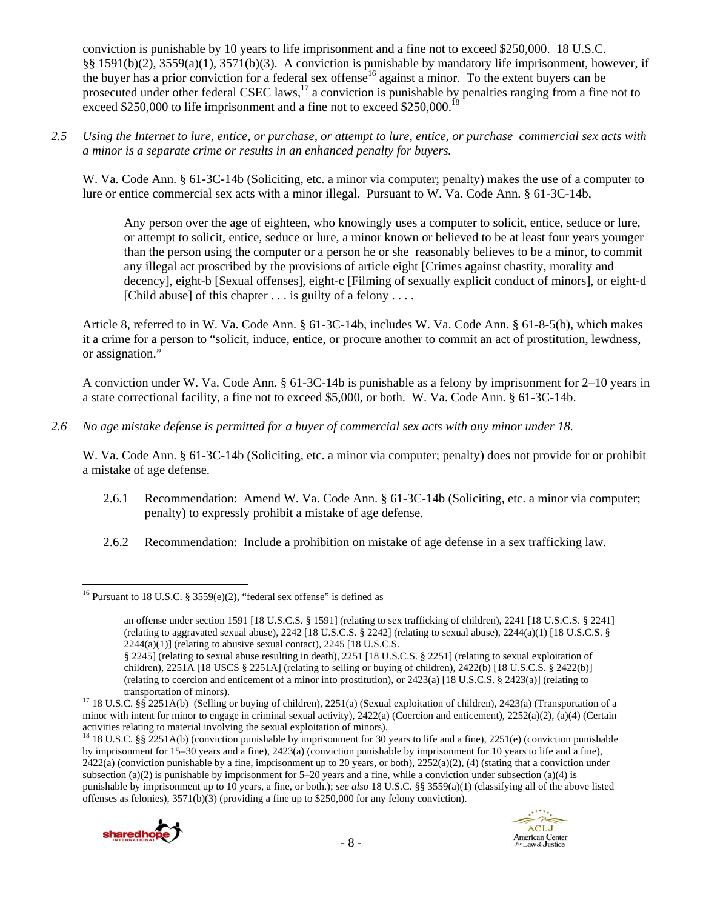conviction is punishable by 10 years to life imprisonment and a fine not to exceed \$250,000. 18 U.S.C. §§ 1591(b)(2), 3559(a)(1), 3571(b)(3). A conviction is punishable by mandatory life imprisonment, however, if the buyer has a prior conviction for a federal sex offense<sup>16</sup> against a minor. To the extent buyers can be prosecuted under other federal CSEC laws,<sup>17</sup> a conviction is punishable by penalties ranging from a fine not to exceed \$250,000 to life imprisonment and a fine not to exceed \$250,000.<sup>18</sup>

*2.5 Using the Internet to lure, entice, or purchase, or attempt to lure, entice, or purchase commercial sex acts with a minor is a separate crime or results in an enhanced penalty for buyers.* 

W. Va. Code Ann. § 61-3C-14b (Soliciting, etc. a minor via computer; penalty) makes the use of a computer to lure or entice commercial sex acts with a minor illegal. Pursuant to W. Va. Code Ann. § 61-3C-14b,

Any person over the age of eighteen, who knowingly uses a computer to solicit, entice, seduce or lure, or attempt to solicit, entice, seduce or lure, a minor known or believed to be at least four years younger than the person using the computer or a person he or she reasonably believes to be a minor, to commit any illegal act proscribed by the provisions of article eight [Crimes against chastity, morality and decency], eight-b [Sexual offenses], eight-c [Filming of sexually explicit conduct of minors], or eight-d [Child abuse] of this chapter  $\dots$  is guilty of a felony  $\dots$ 

Article 8, referred to in W. Va. Code Ann. § 61-3C-14b, includes W. Va. Code Ann. § 61-8-5(b), which makes it a crime for a person to "solicit, induce, entice, or procure another to commit an act of prostitution, lewdness, or assignation."

A conviction under W. Va. Code Ann. § 61-3C-14b is punishable as a felony by imprisonment for 2–10 years in a state correctional facility, a fine not to exceed \$5,000, or both. W. Va. Code Ann. § 61-3C-14b.

*2.6 No age mistake defense is permitted for a buyer of commercial sex acts with any minor under 18.* 

W. Va. Code Ann. § 61-3C-14b (Soliciting, etc. a minor via computer; penalty) does not provide for or prohibit a mistake of age defense.

- 2.6.1 Recommendation: Amend W. Va. Code Ann. § 61-3C-14b (Soliciting, etc. a minor via computer; penalty) to expressly prohibit a mistake of age defense.
- 2.6.2 Recommendation: Include a prohibition on mistake of age defense in a sex trafficking law.

<sup>&</sup>lt;sup>18</sup> 18 U.S.C. §§ 2251A(b) (conviction punishable by imprisonment for 30 years to life and a fine), 2251(e) (conviction punishable by imprisonment for 15–30 years and a fine), 2423(a) (conviction punishable by imprisonment for 10 years to life and a fine),  $2422(a)$  (conviction punishable by a fine, imprisonment up to 20 years, or both),  $2252(a)(2)$ , (4) (stating that a conviction under subsection (a)(2) is punishable by imprisonment for  $5-20$  years and a fine, while a conviction under subsection (a)(4) is punishable by imprisonment up to 10 years, a fine, or both.); *see also* 18 U.S.C. §§ 3559(a)(1) (classifying all of the above listed offenses as felonies), 3571(b)(3) (providing a fine up to \$250,000 for any felony conviction).



 <sup>16</sup> Pursuant to 18 U.S.C. § 3559(e)(2), "federal sex offense" is defined as

an offense under section 1591 [18 U.S.C.S. § 1591] (relating to sex trafficking of children), 2241 [18 U.S.C.S. § 2241] (relating to aggravated sexual abuse), 2242 [18 U.S.C.S. § 2242] (relating to sexual abuse), 2244(a)(1) [18 U.S.C.S. §  $2244(a)(1)$ ] (relating to abusive sexual contact),  $2245$  [18 U.S.C.S.]

<sup>§ 2245] (</sup>relating to sexual abuse resulting in death), 2251 [18 U.S.C.S. § 2251] (relating to sexual exploitation of children), 2251A [18 USCS § 2251A] (relating to selling or buying of children), 2422(b) [18 U.S.C.S. § 2422(b)] (relating to coercion and enticement of a minor into prostitution), or 2423(a) [18 U.S.C.S. § 2423(a)] (relating to

<sup>&</sup>lt;sup>17</sup> 18 U.S.C. §§ 2251A(b) (Selling or buying of children), 2251(a) (Sexual exploitation of children), 2423(a) (Transportation of a minor with intent for minor to engage in criminal sexual activity), 2422(a) (Coercion and enticement), 2252(a)(2), (a)(4) (Certain activities relating to material involving the sexual exploitation of minors).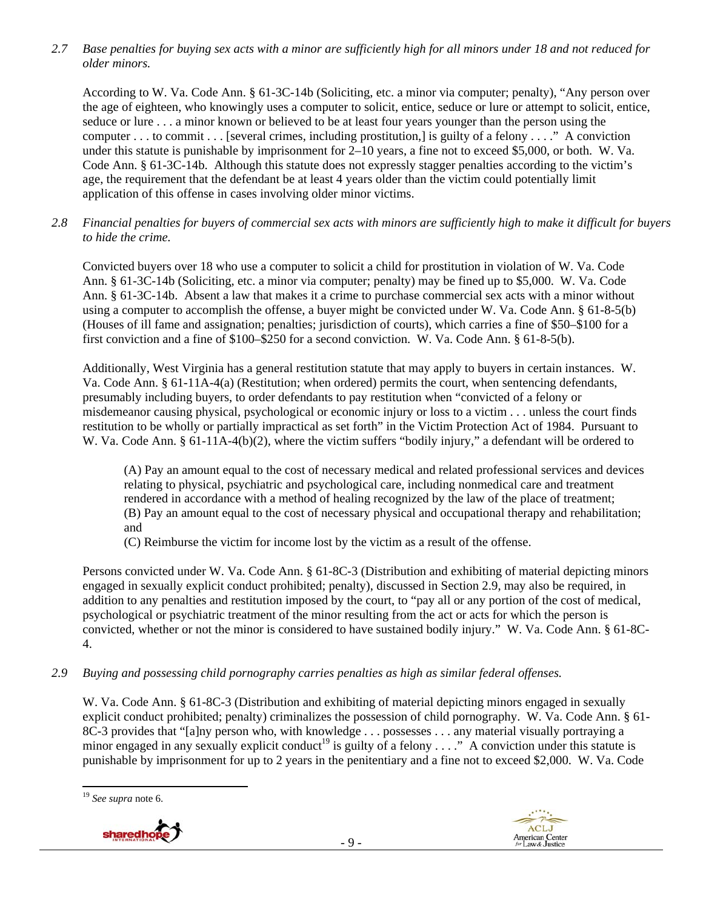*2.7 Base penalties for buying sex acts with a minor are sufficiently high for all minors under 18 and not reduced for older minors.* 

According to W. Va. Code Ann. § 61-3C-14b (Soliciting, etc. a minor via computer; penalty), "Any person over the age of eighteen, who knowingly uses a computer to solicit, entice, seduce or lure or attempt to solicit, entice, seduce or lure . . . a minor known or believed to be at least four years younger than the person using the computer . . . to commit . . . [several crimes, including prostitution,] is guilty of a felony . . . ." A conviction under this statute is punishable by imprisonment for 2–10 years, a fine not to exceed \$5,000, or both. W. Va. Code Ann. § 61-3C-14b. Although this statute does not expressly stagger penalties according to the victim's age, the requirement that the defendant be at least 4 years older than the victim could potentially limit application of this offense in cases involving older minor victims.

*2.8 Financial penalties for buyers of commercial sex acts with minors are sufficiently high to make it difficult for buyers to hide the crime.* 

Convicted buyers over 18 who use a computer to solicit a child for prostitution in violation of W. Va. Code Ann. § 61-3C-14b (Soliciting, etc. a minor via computer; penalty) may be fined up to \$5,000. W. Va. Code Ann. § 61-3C-14b. Absent a law that makes it a crime to purchase commercial sex acts with a minor without using a computer to accomplish the offense, a buyer might be convicted under W. Va. Code Ann. § 61-8-5(b) (Houses of ill fame and assignation; penalties; jurisdiction of courts), which carries a fine of \$50–\$100 for a first conviction and a fine of \$100–\$250 for a second conviction. W. Va. Code Ann. § 61-8-5(b).

Additionally, West Virginia has a general restitution statute that may apply to buyers in certain instances. W. Va. Code Ann. § 61-11A-4(a) (Restitution; when ordered) permits the court, when sentencing defendants, presumably including buyers, to order defendants to pay restitution when "convicted of a felony or misdemeanor causing physical, psychological or economic injury or loss to a victim . . . unless the court finds restitution to be wholly or partially impractical as set forth" in the Victim Protection Act of 1984. Pursuant to W. Va. Code Ann. § 61-11A-4(b)(2), where the victim suffers "bodily injury," a defendant will be ordered to

(A) Pay an amount equal to the cost of necessary medical and related professional services and devices relating to physical, psychiatric and psychological care, including nonmedical care and treatment rendered in accordance with a method of healing recognized by the law of the place of treatment; (B) Pay an amount equal to the cost of necessary physical and occupational therapy and rehabilitation; and

(C) Reimburse the victim for income lost by the victim as a result of the offense.

Persons convicted under W. Va. Code Ann. § 61-8C-3 (Distribution and exhibiting of material depicting minors engaged in sexually explicit conduct prohibited; penalty), discussed in Section 2.9, may also be required, in addition to any penalties and restitution imposed by the court, to "pay all or any portion of the cost of medical, psychological or psychiatric treatment of the minor resulting from the act or acts for which the person is convicted, whether or not the minor is considered to have sustained bodily injury." W. Va. Code Ann. § 61-8C-4.

*2.9 Buying and possessing child pornography carries penalties as high as similar federal offenses.* 

W. Va. Code Ann. § 61-8C-3 (Distribution and exhibiting of material depicting minors engaged in sexually explicit conduct prohibited; penalty) criminalizes the possession of child pornography. W. Va. Code Ann. § 61- 8C-3 provides that "[a]ny person who, with knowledge . . . possesses . . . any material visually portraying a minor engaged in any sexually explicit conduct<sup>19</sup> is guilty of a felony . . . ." A conviction under this statute is punishable by imprisonment for up to 2 years in the penitentiary and a fine not to exceed \$2,000. W. Va. Code

 <sup>19</sup> *See supra* note 6.



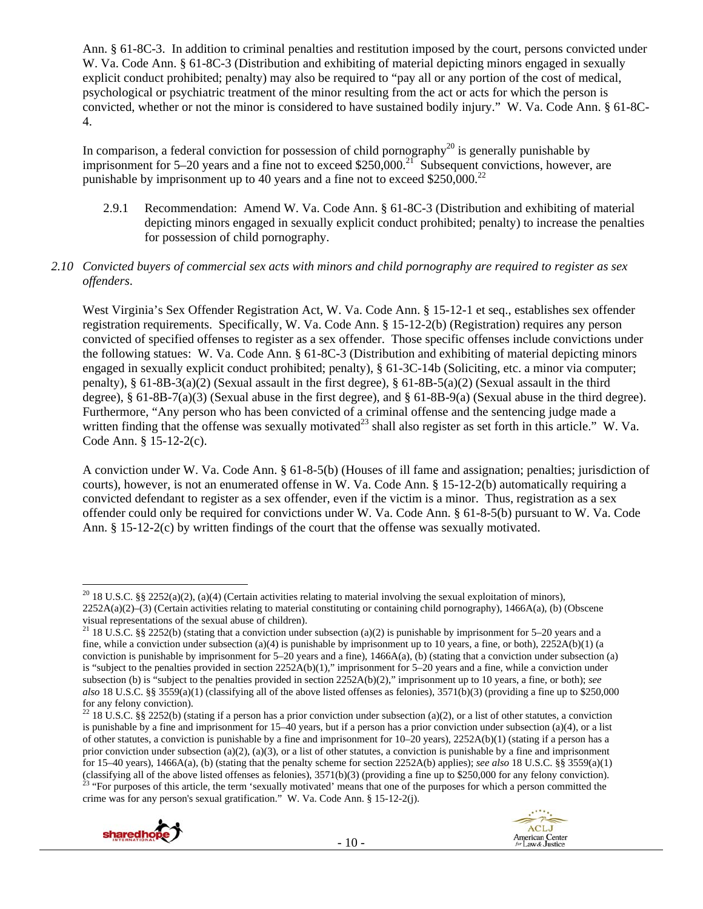Ann. § 61-8C-3. In addition to criminal penalties and restitution imposed by the court, persons convicted under W. Va. Code Ann. § 61-8C-3 (Distribution and exhibiting of material depicting minors engaged in sexually explicit conduct prohibited; penalty) may also be required to "pay all or any portion of the cost of medical, psychological or psychiatric treatment of the minor resulting from the act or acts for which the person is convicted, whether or not the minor is considered to have sustained bodily injury." W. Va. Code Ann. § 61-8C-4.

In comparison, a federal conviction for possession of child pornography<sup>20</sup> is generally punishable by imprisonment for 5–20 years and a fine not to exceed \$250,000.<sup>21</sup> Subsequent convictions, however, are punishable by imprisonment up to 40 years and a fine not to exceed  $$250,000.<sup>22</sup>$ 

2.9.1 Recommendation: Amend W. Va. Code Ann. § 61-8C-3 (Distribution and exhibiting of material depicting minors engaged in sexually explicit conduct prohibited; penalty) to increase the penalties for possession of child pornography.

## *2.10 Convicted buyers of commercial sex acts with minors and child pornography are required to register as sex offenders*.

West Virginia's Sex Offender Registration Act, W. Va. Code Ann. § 15-12-1 et seq., establishes sex offender registration requirements. Specifically, W. Va. Code Ann. § 15-12-2(b) (Registration) requires any person convicted of specified offenses to register as a sex offender. Those specific offenses include convictions under the following statues: W. Va. Code Ann. § 61-8C-3 (Distribution and exhibiting of material depicting minors engaged in sexually explicit conduct prohibited; penalty), § 61-3C-14b (Soliciting, etc. a minor via computer; penalty), § 61-8B-3(a)(2) (Sexual assault in the first degree), § 61-8B-5(a)(2) (Sexual assault in the third degree), § 61-8B-7(a)(3) (Sexual abuse in the first degree), and § 61-8B-9(a) (Sexual abuse in the third degree). Furthermore, "Any person who has been convicted of a criminal offense and the sentencing judge made a written finding that the offense was sexually motivated<sup>23</sup> shall also register as set forth in this article." W. Va. Code Ann. § 15-12-2(c).

A conviction under W. Va. Code Ann. § 61-8-5(b) (Houses of ill fame and assignation; penalties; jurisdiction of courts), however, is not an enumerated offense in W. Va. Code Ann. § 15-12-2(b) automatically requiring a convicted defendant to register as a sex offender, even if the victim is a minor. Thus, registration as a sex offender could only be required for convictions under W. Va. Code Ann. § 61-8-5(b) pursuant to W. Va. Code Ann. § 15-12-2(c) by written findings of the court that the offense was sexually motivated.

<sup>&</sup>lt;sup>22</sup> 18 U.S.C. §§ 2252(b) (stating if a person has a prior conviction under subsection (a)(2), or a list of other statutes, a conviction is punishable by a fine and imprisonment for 15–40 years, but if a person has a prior conviction under subsection (a)(4), or a list of other statutes, a conviction is punishable by a fine and imprisonment for  $10-20$  years),  $2252A(b)(1)$  (stating if a person has a prior conviction under subsection (a)(2), (a)(3), or a list of other statutes, a conviction is punishable by a fine and imprisonment for 15–40 years), 1466A(a), (b) (stating that the penalty scheme for section 2252A(b) applies); *see also* 18 U.S.C. §§ 3559(a)(1) (classifying all of the above listed offenses as felonies),  $3571(b)(3)$  (providing a fine up to \$250,000 for any felony conviction).<br><sup>23</sup> "For purposes of this article, the term 'sexually motivated' means that one of the p crime was for any person's sexual gratification." W. Va. Code Ann. § 15-12-2(j).





 <sup>20</sup> 18 U.S.C. §§ 2252(a)(2), (a)(4) (Certain activities relating to material involving the sexual exploitation of minors), 2252A(a)(2)–(3) (Certain activities relating to material constituting or containing child pornography), 1466A(a), (b) (Obscene visual representations of the sexual abuse of children).

<sup>&</sup>lt;sup>21</sup> 18 U.S.C. §§ 2252(b) (stating that a conviction under subsection (a)(2) is punishable by imprisonment for 5–20 years and a fine, while a conviction under subsection (a)(4) is punishable by imprisonment up to 10 years, a fine, or both),  $2252A(b)(1)$  (a conviction is punishable by imprisonment for  $5-20$  years and a fine), 1466A(a), (b) (stating that a conviction under subsection (a) is "subject to the penalties provided in section 2252A(b)(1)," imprisonment for 5–20 years and a fine, while a conviction under subsection (b) is "subject to the penalties provided in section 2252A(b)(2)," imprisonment up to 10 years, a fine, or both); *see also* 18 U.S.C. §§ 3559(a)(1) (classifying all of the above listed offenses as felonies), 3571(b)(3) (providing a fine up to \$250,000 for any felony conviction).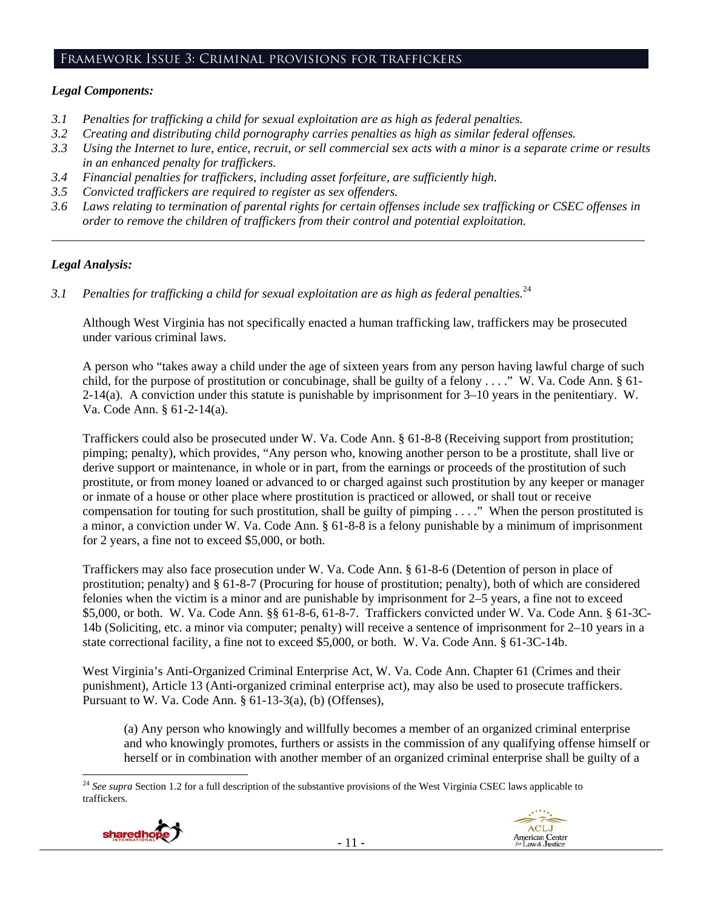#### Framework Issue 3: Criminal provisions for traffickers

## *Legal Components:*

- *3.1 Penalties for trafficking a child for sexual exploitation are as high as federal penalties.*
- *3.2 Creating and distributing child pornography carries penalties as high as similar federal offenses.*
- *3.3 Using the Internet to lure, entice, recruit, or sell commercial sex acts with a minor is a separate crime or results in an enhanced penalty for traffickers.*
- *3.4 Financial penalties for traffickers, including asset forfeiture, are sufficiently high.*
- *3.5 Convicted traffickers are required to register as sex offenders.*
- *3.6 Laws relating to termination of parental rights for certain offenses include sex trafficking or CSEC offenses in order to remove the children of traffickers from their control and potential exploitation.*

*\_\_\_\_\_\_\_\_\_\_\_\_\_\_\_\_\_\_\_\_\_\_\_\_\_\_\_\_\_\_\_\_\_\_\_\_\_\_\_\_\_\_\_\_\_\_\_\_\_\_\_\_\_\_\_\_\_\_\_\_\_\_\_\_\_\_\_\_\_\_\_\_\_\_\_\_\_\_\_\_\_\_\_\_\_\_\_\_\_\_\_\_\_\_* 

## *Legal Analysis:*

*3.1 Penalties for trafficking a child for sexual exploitation are as high as federal penalties.*<sup>24</sup>

Although West Virginia has not specifically enacted a human trafficking law, traffickers may be prosecuted under various criminal laws.

A person who "takes away a child under the age of sixteen years from any person having lawful charge of such child, for the purpose of prostitution or concubinage, shall be guilty of a felony . . . ." W. Va. Code Ann. § 61- 2-14(a). A conviction under this statute is punishable by imprisonment for 3–10 years in the penitentiary. W. Va. Code Ann. § 61-2-14(a).

Traffickers could also be prosecuted under W. Va. Code Ann. § 61-8-8 (Receiving support from prostitution; pimping; penalty), which provides, "Any person who, knowing another person to be a prostitute, shall live or derive support or maintenance, in whole or in part, from the earnings or proceeds of the prostitution of such prostitute, or from money loaned or advanced to or charged against such prostitution by any keeper or manager or inmate of a house or other place where prostitution is practiced or allowed, or shall tout or receive compensation for touting for such prostitution, shall be guilty of pimping . . . ." When the person prostituted is a minor, a conviction under W. Va. Code Ann. § 61-8-8 is a felony punishable by a minimum of imprisonment for 2 years, a fine not to exceed \$5,000, or both.

Traffickers may also face prosecution under W. Va. Code Ann. § 61-8-6 (Detention of person in place of prostitution; penalty) and § 61-8-7 (Procuring for house of prostitution; penalty), both of which are considered felonies when the victim is a minor and are punishable by imprisonment for 2–5 years, a fine not to exceed \$5,000, or both. W. Va. Code Ann. §§ 61-8-6, 61-8-7. Traffickers convicted under W. Va. Code Ann. § 61-3C-14b (Soliciting, etc. a minor via computer; penalty) will receive a sentence of imprisonment for 2–10 years in a state correctional facility, a fine not to exceed \$5,000, or both. W. Va. Code Ann. § 61-3C-14b.

West Virginia's Anti-Organized Criminal Enterprise Act, W. Va. Code Ann. Chapter 61 (Crimes and their punishment), Article 13 (Anti-organized criminal enterprise act), may also be used to prosecute traffickers. Pursuant to W. Va. Code Ann. § 61-13-3(a), (b) (Offenses),

(a) Any person who knowingly and willfully becomes a member of an organized criminal enterprise and who knowingly promotes, furthers or assists in the commission of any qualifying offense himself or herself or in combination with another member of an organized criminal enterprise shall be guilty of a

 <sup>24</sup> See supra Section 1.2 for a full description of the substantive provisions of the West Virginia CSEC laws applicable to traffickers.

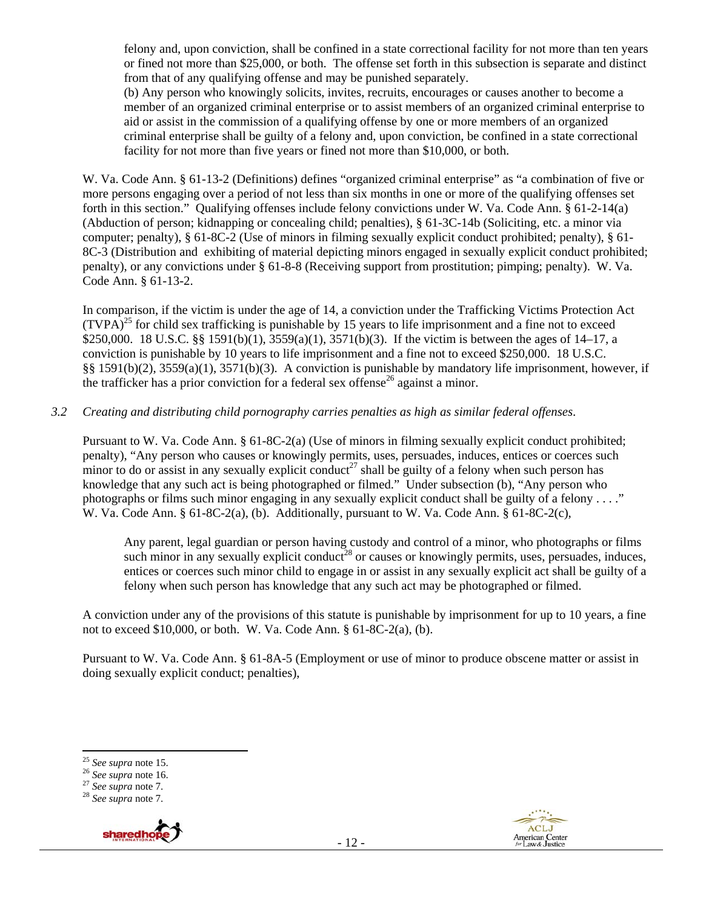felony and, upon conviction, shall be confined in a state correctional facility for not more than ten years or fined not more than \$25,000, or both. The offense set forth in this subsection is separate and distinct from that of any qualifying offense and may be punished separately.

(b) Any person who knowingly solicits, invites, recruits, encourages or causes another to become a member of an organized criminal enterprise or to assist members of an organized criminal enterprise to aid or assist in the commission of a qualifying offense by one or more members of an organized criminal enterprise shall be guilty of a felony and, upon conviction, be confined in a state correctional facility for not more than five years or fined not more than \$10,000, or both.

W. Va. Code Ann. § 61-13-2 (Definitions) defines "organized criminal enterprise" as "a combination of five or more persons engaging over a period of not less than six months in one or more of the qualifying offenses set forth in this section." Qualifying offenses include felony convictions under W. Va. Code Ann. § 61-2-14(a) (Abduction of person; kidnapping or concealing child; penalties), § 61-3C-14b (Soliciting, etc. a minor via computer; penalty), § 61-8C-2 (Use of minors in filming sexually explicit conduct prohibited; penalty), § 61- 8C-3 (Distribution and exhibiting of material depicting minors engaged in sexually explicit conduct prohibited; penalty), or any convictions under § 61-8-8 (Receiving support from prostitution; pimping; penalty). W. Va. Code Ann. § 61-13-2.

In comparison, if the victim is under the age of 14, a conviction under the Trafficking Victims Protection Act  $(TVPA)^{25}$  for child sex trafficking is punishable by 15 years to life imprisonment and a fine not to exceed \$250,000. 18 U.S.C. §§ 1591(b)(1), 3559(a)(1), 3571(b)(3). If the victim is between the ages of 14–17, a conviction is punishable by 10 years to life imprisonment and a fine not to exceed \$250,000. 18 U.S.C. §§ 1591(b)(2), 3559(a)(1), 3571(b)(3). A conviction is punishable by mandatory life imprisonment, however, if the trafficker has a prior conviction for a federal sex offense<sup>26</sup> against a minor.

## *3.2 Creating and distributing child pornography carries penalties as high as similar federal offenses*.

Pursuant to W. Va. Code Ann. § 61-8C-2(a) (Use of minors in filming sexually explicit conduct prohibited; penalty), "Any person who causes or knowingly permits, uses, persuades, induces, entices or coerces such minor to do or assist in any sexually explicit conduct<sup>27</sup> shall be guilty of a felony when such person has knowledge that any such act is being photographed or filmed." Under subsection (b), "Any person who photographs or films such minor engaging in any sexually explicit conduct shall be guilty of a felony . . . ." W. Va. Code Ann. § 61-8C-2(a), (b). Additionally, pursuant to W. Va. Code Ann. § 61-8C-2(c),

Any parent, legal guardian or person having custody and control of a minor, who photographs or films such minor in any sexually explicit conduct<sup>28</sup> or causes or knowingly permits, uses, persuades, induces, entices or coerces such minor child to engage in or assist in any sexually explicit act shall be guilty of a felony when such person has knowledge that any such act may be photographed or filmed.

A conviction under any of the provisions of this statute is punishable by imprisonment for up to 10 years, a fine not to exceed \$10,000, or both. W. Va. Code Ann. § 61-8C-2(a), (b).

Pursuant to W. Va. Code Ann. § 61-8A-5 (Employment or use of minor to produce obscene matter or assist in doing sexually explicit conduct; penalties),





<sup>25</sup> *See supra* note 15. 26 *See supra* note 16. 27 *See supra* note 7. 28 *See supra* note 7.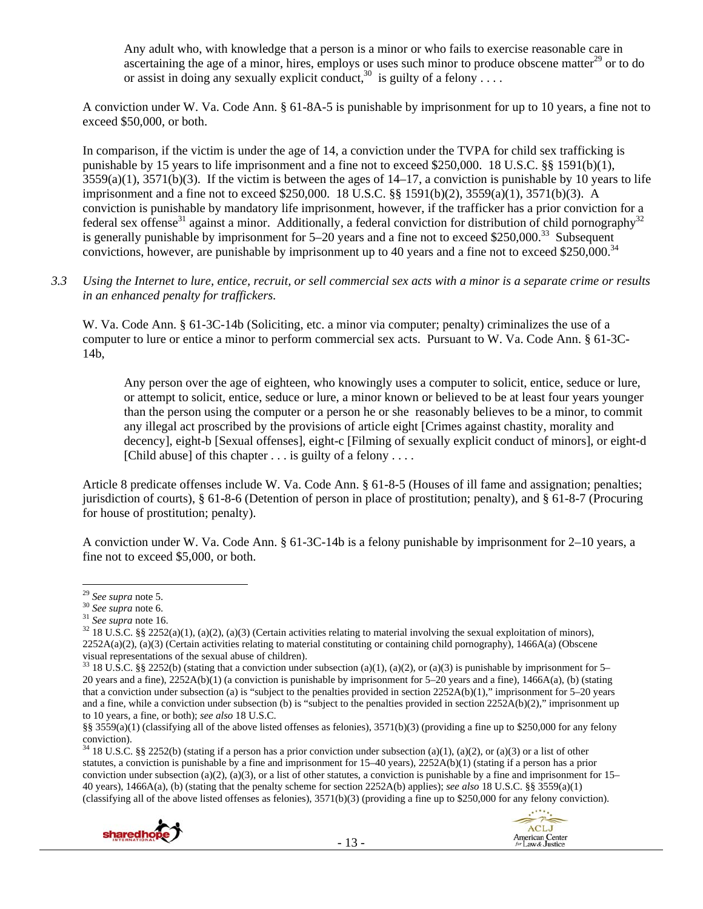Any adult who, with knowledge that a person is a minor or who fails to exercise reasonable care in ascertaining the age of a minor, hires, employs or uses such minor to produce obscene matter $^{29}$  or to do or assist in doing any sexually explicit conduct,  $30$  is guilty of a felony ...

A conviction under W. Va. Code Ann. § 61-8A-5 is punishable by imprisonment for up to 10 years, a fine not to exceed \$50,000, or both.

In comparison, if the victim is under the age of 14, a conviction under the TVPA for child sex trafficking is punishable by 15 years to life imprisonment and a fine not to exceed \$250,000. 18 U.S.C. §§ 1591(b)(1),  $3559(a)(1)$ ,  $3571(b)(3)$ . If the victim is between the ages of  $14-17$ , a conviction is punishable by 10 years to life imprisonment and a fine not to exceed \$250,000. 18 U.S.C. §§ 1591(b)(2), 3559(a)(1), 3571(b)(3). A conviction is punishable by mandatory life imprisonment, however, if the trafficker has a prior conviction for a federal sex offense<sup>31</sup> against a minor. Additionally, a federal conviction for distribution of child pornography<sup>32</sup> is generally punishable by imprisonment for  $5-20$  years and a fine not to exceed \$250,000.<sup>33</sup> Subsequent convictions, however, are punishable by imprisonment up to 40 years and a fine not to exceed \$250,000.<sup>34</sup>

*3.3 Using the Internet to lure, entice, recruit, or sell commercial sex acts with a minor is a separate crime or results in an enhanced penalty for traffickers.* 

W. Va. Code Ann. § 61-3C-14b (Soliciting, etc. a minor via computer; penalty) criminalizes the use of a computer to lure or entice a minor to perform commercial sex acts. Pursuant to W. Va. Code Ann. § 61-3C-14b,

Any person over the age of eighteen, who knowingly uses a computer to solicit, entice, seduce or lure, or attempt to solicit, entice, seduce or lure, a minor known or believed to be at least four years younger than the person using the computer or a person he or she reasonably believes to be a minor, to commit any illegal act proscribed by the provisions of article eight [Crimes against chastity, morality and decency], eight-b [Sexual offenses], eight-c [Filming of sexually explicit conduct of minors], or eight-d [Child abuse] of this chapter  $\dots$  is guilty of a felony  $\dots$ 

Article 8 predicate offenses include W. Va. Code Ann. § 61-8-5 (Houses of ill fame and assignation; penalties; jurisdiction of courts), § 61-8-6 (Detention of person in place of prostitution; penalty), and § 61-8-7 (Procuring for house of prostitution; penalty).

A conviction under W. Va. Code Ann. § 61-3C-14b is a felony punishable by imprisonment for 2–10 years, a fine not to exceed \$5,000, or both.

 $34$  18 U.S.C. §§ 2252(b) (stating if a person has a prior conviction under subsection (a)(1), (a)(2), or (a)(3) or a list of other statutes, a conviction is punishable by a fine and imprisonment for 15–40 years), 2252A(b)(1) (stating if a person has a prior conviction under subsection (a)(2), (a)(3), or a list of other statutes, a conviction is punishable by a fine and imprisonment for  $15-$ 40 years), 1466A(a), (b) (stating that the penalty scheme for section 2252A(b) applies); *see also* 18 U.S.C. §§ 3559(a)(1) (classifying all of the above listed offenses as felonies),  $3571(b)(3)$  (providing a fine up to \$250,000 for any felony conviction).





<sup>&</sup>lt;sup>29</sup> *See supra* note 5.<br><sup>30</sup> *See supra* note 6.<br><sup>31</sup> *See supra* note 16.<br><sup>32</sup> 18 U.S.C. §§ 2252(a)(1), (a)(2), (a)(3) (Certain activities relating to material involving the sexual exploitation of minors), 2252A(a)(2), (a)(3) (Certain activities relating to material constituting or containing child pornography), 1466A(a) (Obscene visual representations of the sexual abuse of children).

<sup>&</sup>lt;sup>33</sup> 18 U.S.C. §§ 2252(b) (stating that a conviction under subsection (a)(1), (a)(2), or (a)(3) is punishable by imprisonment for 5– 20 years and a fine), 2252A(b)(1) (a conviction is punishable by imprisonment for 5–20 years and a fine), 1466A(a), (b) (stating that a conviction under subsection (a) is "subject to the penalties provided in section 2252A(b)(1)," imprisonment for 5–20 years and a fine, while a conviction under subsection (b) is "subject to the penalties provided in section  $2252A(b)(2)$ ," imprisonment up to 10 years, a fine, or both); *see also* 18 U.S.C.

<sup>§§ 3559(</sup>a)(1) (classifying all of the above listed offenses as felonies), 3571(b)(3) (providing a fine up to \$250,000 for any felony conviction).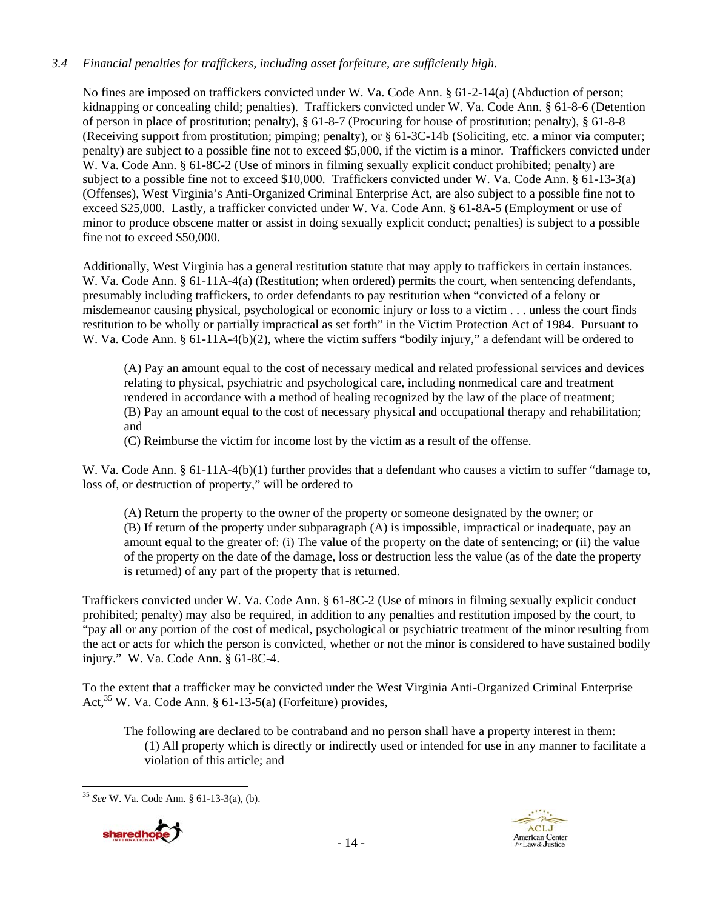# *3.4 Financial penalties for traffickers, including asset forfeiture, are sufficiently high*.

No fines are imposed on traffickers convicted under W. Va. Code Ann. § 61-2-14(a) (Abduction of person; kidnapping or concealing child; penalties). Traffickers convicted under W. Va. Code Ann. § 61-8-6 (Detention of person in place of prostitution; penalty), § 61-8-7 (Procuring for house of prostitution; penalty), § 61-8-8 (Receiving support from prostitution; pimping; penalty), or § 61-3C-14b (Soliciting, etc. a minor via computer; penalty) are subject to a possible fine not to exceed \$5,000, if the victim is a minor. Traffickers convicted under W. Va. Code Ann. § 61-8C-2 (Use of minors in filming sexually explicit conduct prohibited; penalty) are subject to a possible fine not to exceed \$10,000. Traffickers convicted under W. Va. Code Ann. § 61-13-3(a) (Offenses), West Virginia's Anti-Organized Criminal Enterprise Act, are also subject to a possible fine not to exceed \$25,000. Lastly, a trafficker convicted under W. Va. Code Ann. § 61-8A-5 (Employment or use of minor to produce obscene matter or assist in doing sexually explicit conduct; penalties) is subject to a possible fine not to exceed \$50,000.

Additionally, West Virginia has a general restitution statute that may apply to traffickers in certain instances. W. Va. Code Ann. § 61-11A-4(a) (Restitution; when ordered) permits the court, when sentencing defendants, presumably including traffickers, to order defendants to pay restitution when "convicted of a felony or misdemeanor causing physical, psychological or economic injury or loss to a victim . . . unless the court finds restitution to be wholly or partially impractical as set forth" in the Victim Protection Act of 1984. Pursuant to W. Va. Code Ann. § 61-11A-4(b)(2), where the victim suffers "bodily injury," a defendant will be ordered to

(A) Pay an amount equal to the cost of necessary medical and related professional services and devices relating to physical, psychiatric and psychological care, including nonmedical care and treatment rendered in accordance with a method of healing recognized by the law of the place of treatment; (B) Pay an amount equal to the cost of necessary physical and occupational therapy and rehabilitation; and

(C) Reimburse the victim for income lost by the victim as a result of the offense.

W. Va. Code Ann. § 61-11A-4(b)(1) further provides that a defendant who causes a victim to suffer "damage to, loss of, or destruction of property," will be ordered to

(A) Return the property to the owner of the property or someone designated by the owner; or (B) If return of the property under subparagraph (A) is impossible, impractical or inadequate, pay an amount equal to the greater of: (i) The value of the property on the date of sentencing; or (ii) the value of the property on the date of the damage, loss or destruction less the value (as of the date the property is returned) of any part of the property that is returned.

Traffickers convicted under W. Va. Code Ann. § 61-8C-2 (Use of minors in filming sexually explicit conduct prohibited; penalty) may also be required, in addition to any penalties and restitution imposed by the court, to "pay all or any portion of the cost of medical, psychological or psychiatric treatment of the minor resulting from the act or acts for which the person is convicted, whether or not the minor is considered to have sustained bodily injury." W. Va. Code Ann. § 61-8C-4.

To the extent that a trafficker may be convicted under the West Virginia Anti-Organized Criminal Enterprise Act,  $35$  W. Va. Code Ann. § 61-13-5(a) (Forfeiture) provides,

The following are declared to be contraband and no person shall have a property interest in them: (1) All property which is directly or indirectly used or intended for use in any manner to facilitate a violation of this article; and

 <sup>35</sup> *See* W. Va. Code Ann. § 61-13-3(a), (b).



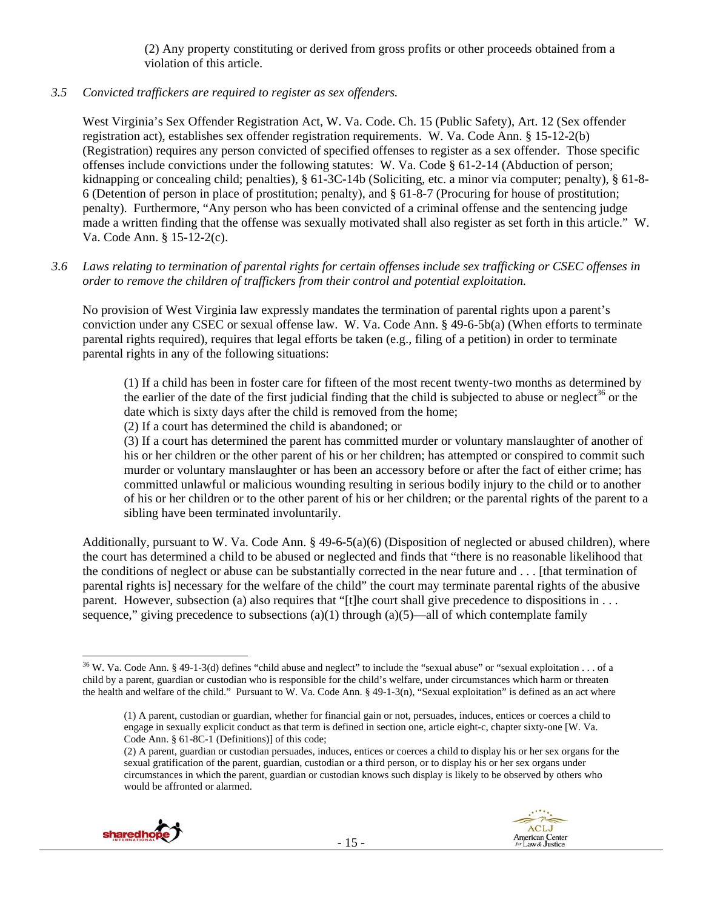(2) Any property constituting or derived from gross profits or other proceeds obtained from a violation of this article.

## *3.5 Convicted traffickers are required to register as sex offenders.*

West Virginia's Sex Offender Registration Act, W. Va. Code. Ch. 15 (Public Safety), Art. 12 (Sex offender registration act), establishes sex offender registration requirements. W. Va. Code Ann. § 15-12-2(b) (Registration) requires any person convicted of specified offenses to register as a sex offender. Those specific offenses include convictions under the following statutes: W. Va. Code § 61-2-14 (Abduction of person; kidnapping or concealing child; penalties), § 61-3C-14b (Soliciting, etc. a minor via computer; penalty), § 61-8- 6 (Detention of person in place of prostitution; penalty), and § 61-8-7 (Procuring for house of prostitution; penalty). Furthermore, "Any person who has been convicted of a criminal offense and the sentencing judge made a written finding that the offense was sexually motivated shall also register as set forth in this article." W. Va. Code Ann. § 15-12-2(c).

## *3.6 Laws relating to termination of parental rights for certain offenses include sex trafficking or CSEC offenses in order to remove the children of traffickers from their control and potential exploitation.*

No provision of West Virginia law expressly mandates the termination of parental rights upon a parent's conviction under any CSEC or sexual offense law. W. Va. Code Ann. § 49-6-5b(a) (When efforts to terminate parental rights required), requires that legal efforts be taken (e.g., filing of a petition) in order to terminate parental rights in any of the following situations:

(1) If a child has been in foster care for fifteen of the most recent twenty-two months as determined by the earlier of the date of the first judicial finding that the child is subjected to abuse or neglect<sup>36</sup> or the date which is sixty days after the child is removed from the home;

(2) If a court has determined the child is abandoned; or

(3) If a court has determined the parent has committed murder or voluntary manslaughter of another of his or her children or the other parent of his or her children; has attempted or conspired to commit such murder or voluntary manslaughter or has been an accessory before or after the fact of either crime; has committed unlawful or malicious wounding resulting in serious bodily injury to the child or to another of his or her children or to the other parent of his or her children; or the parental rights of the parent to a sibling have been terminated involuntarily.

Additionally, pursuant to W. Va. Code Ann. § 49-6-5(a)(6) (Disposition of neglected or abused children), where the court has determined a child to be abused or neglected and finds that "there is no reasonable likelihood that the conditions of neglect or abuse can be substantially corrected in the near future and . . . [that termination of parental rights is] necessary for the welfare of the child" the court may terminate parental rights of the abusive parent. However, subsection (a) also requires that "[t]he court shall give precedence to dispositions in . . . sequence," giving precedence to subsections (a)(1) through (a)(5)—all of which contemplate family

<sup>(2)</sup> A parent, guardian or custodian persuades, induces, entices or coerces a child to display his or her sex organs for the sexual gratification of the parent, guardian, custodian or a third person, or to display his or her sex organs under circumstances in which the parent, guardian or custodian knows such display is likely to be observed by others who would be affronted or alarmed.



  $36$  W. Va. Code Ann. § 49-1-3(d) defines "child abuse and neglect" to include the "sexual abuse" or "sexual exploitation . . . of a child by a parent, guardian or custodian who is responsible for the child's welfare, under circumstances which harm or threaten the health and welfare of the child." Pursuant to W. Va. Code Ann. § 49-1-3(n), "Sexual exploitation" is defined as an act where

<sup>(1)</sup> A parent, custodian or guardian, whether for financial gain or not, persuades, induces, entices or coerces a child to engage in sexually explicit conduct as that term is defined in section one, article eight-c, chapter sixty-one [W. Va. Code Ann. § 61-8C-1 (Definitions)] of this code;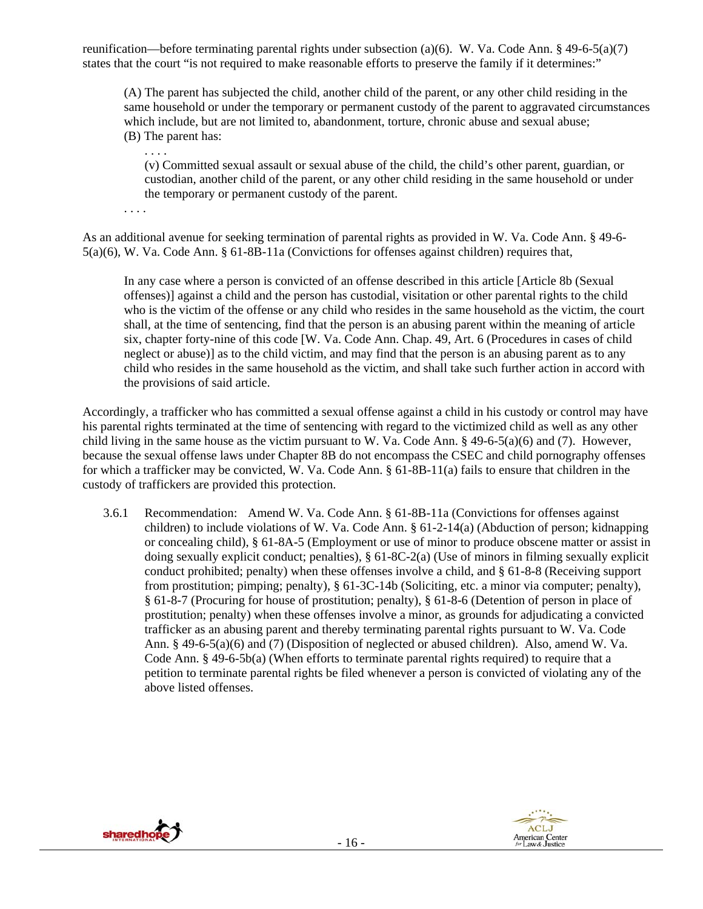reunification—before terminating parental rights under subsection (a)(6). W. Va. Code Ann. § 49-6-5(a)(7) states that the court "is not required to make reasonable efforts to preserve the family if it determines:"

(A) The parent has subjected the child, another child of the parent, or any other child residing in the same household or under the temporary or permanent custody of the parent to aggravated circumstances which include, but are not limited to, abandonment, torture, chronic abuse and sexual abuse; (B) The parent has:

. . . . (v) Committed sexual assault or sexual abuse of the child, the child's other parent, guardian, or custodian, another child of the parent, or any other child residing in the same household or under the temporary or permanent custody of the parent.

. . . .

As an additional avenue for seeking termination of parental rights as provided in W. Va. Code Ann. § 49-6- 5(a)(6), W. Va. Code Ann. § 61-8B-11a (Convictions for offenses against children) requires that,

In any case where a person is convicted of an offense described in this article [Article 8b (Sexual offenses)] against a child and the person has custodial, visitation or other parental rights to the child who is the victim of the offense or any child who resides in the same household as the victim, the court shall, at the time of sentencing, find that the person is an abusing parent within the meaning of article six, chapter forty-nine of this code [W. Va. Code Ann. Chap. 49, Art. 6 (Procedures in cases of child neglect or abuse)] as to the child victim, and may find that the person is an abusing parent as to any child who resides in the same household as the victim, and shall take such further action in accord with the provisions of said article.

Accordingly, a trafficker who has committed a sexual offense against a child in his custody or control may have his parental rights terminated at the time of sentencing with regard to the victimized child as well as any other child living in the same house as the victim pursuant to W. Va. Code Ann.  $\S$  49-6-5(a)(6) and (7). However, because the sexual offense laws under Chapter 8B do not encompass the CSEC and child pornography offenses for which a trafficker may be convicted, W. Va. Code Ann. § 61-8B-11(a) fails to ensure that children in the custody of traffickers are provided this protection.

3.6.1 Recommendation: Amend W. Va. Code Ann. § 61-8B-11a (Convictions for offenses against children) to include violations of W. Va. Code Ann. § 61-2-14(a) (Abduction of person; kidnapping or concealing child), § 61-8A-5 (Employment or use of minor to produce obscene matter or assist in doing sexually explicit conduct; penalties), § 61-8C-2(a) (Use of minors in filming sexually explicit conduct prohibited; penalty) when these offenses involve a child, and § 61-8-8 (Receiving support from prostitution; pimping; penalty), § 61-3C-14b (Soliciting, etc. a minor via computer; penalty), § 61-8-7 (Procuring for house of prostitution; penalty), § 61-8-6 (Detention of person in place of prostitution; penalty) when these offenses involve a minor, as grounds for adjudicating a convicted trafficker as an abusing parent and thereby terminating parental rights pursuant to W. Va. Code Ann. § 49-6-5(a)(6) and (7) (Disposition of neglected or abused children). Also, amend W. Va. Code Ann. § 49-6-5b(a) (When efforts to terminate parental rights required) to require that a petition to terminate parental rights be filed whenever a person is convicted of violating any of the above listed offenses.



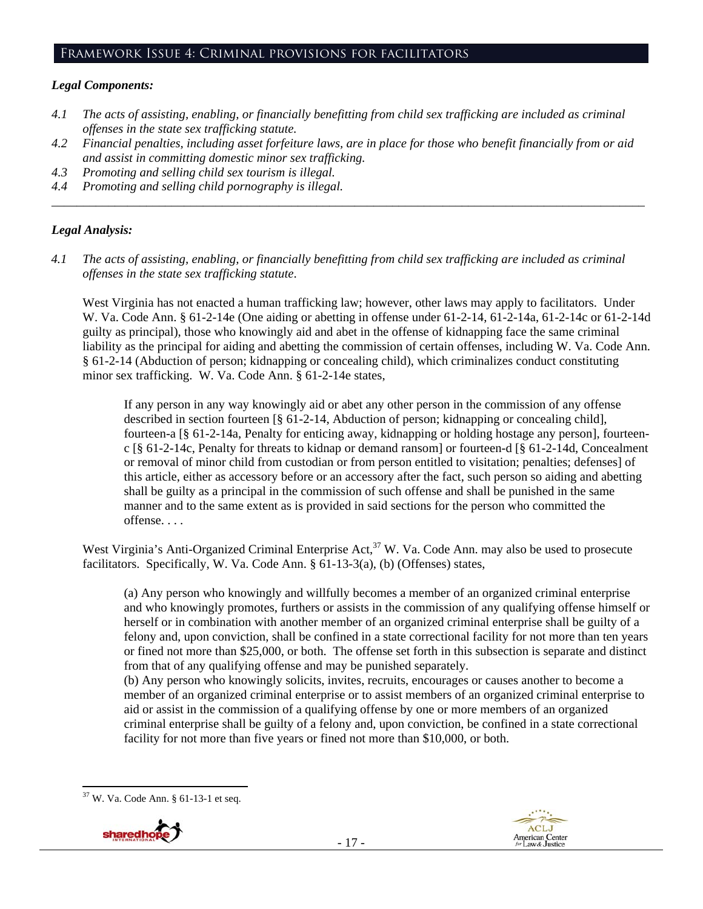#### Framework Issue 4: Criminal provisions for facilitators

## *Legal Components:*

- *4.1 The acts of assisting, enabling, or financially benefitting from child sex trafficking are included as criminal offenses in the state sex trafficking statute.*
- *4.2 Financial penalties, including asset forfeiture laws, are in place for those who benefit financially from or aid and assist in committing domestic minor sex trafficking.*

*\_\_\_\_\_\_\_\_\_\_\_\_\_\_\_\_\_\_\_\_\_\_\_\_\_\_\_\_\_\_\_\_\_\_\_\_\_\_\_\_\_\_\_\_\_\_\_\_\_\_\_\_\_\_\_\_\_\_\_\_\_\_\_\_\_\_\_\_\_\_\_\_\_\_\_\_\_\_\_\_\_\_\_\_\_\_\_\_\_\_\_\_\_\_* 

- *4.3 Promoting and selling child sex tourism is illegal.*
- *4.4 Promoting and selling child pornography is illegal.*

## *Legal Analysis:*

*4.1 The acts of assisting, enabling, or financially benefitting from child sex trafficking are included as criminal offenses in the state sex trafficking statute*.

West Virginia has not enacted a human trafficking law; however, other laws may apply to facilitators. Under W. Va. Code Ann. § 61-2-14e (One aiding or abetting in offense under 61-2-14, 61-2-14a, 61-2-14c or 61-2-14d guilty as principal), those who knowingly aid and abet in the offense of kidnapping face the same criminal liability as the principal for aiding and abetting the commission of certain offenses, including W. Va. Code Ann. § 61-2-14 (Abduction of person; kidnapping or concealing child), which criminalizes conduct constituting minor sex trafficking. W. Va. Code Ann. § 61-2-14e states,

If any person in any way knowingly aid or abet any other person in the commission of any offense described in section fourteen [§ 61-2-14, Abduction of person; kidnapping or concealing child], fourteen-a [§ 61-2-14a, Penalty for enticing away, kidnapping or holding hostage any person], fourteenc [§ 61-2-14c, Penalty for threats to kidnap or demand ransom] or fourteen-d [§ 61-2-14d, Concealment or removal of minor child from custodian or from person entitled to visitation; penalties; defenses] of this article, either as accessory before or an accessory after the fact, such person so aiding and abetting shall be guilty as a principal in the commission of such offense and shall be punished in the same manner and to the same extent as is provided in said sections for the person who committed the offense. . . .

West Virginia's Anti-Organized Criminal Enterprise Act,<sup>37</sup> W. Va. Code Ann. may also be used to prosecute facilitators. Specifically, W. Va. Code Ann. § 61-13-3(a), (b) (Offenses) states,

(a) Any person who knowingly and willfully becomes a member of an organized criminal enterprise and who knowingly promotes, furthers or assists in the commission of any qualifying offense himself or herself or in combination with another member of an organized criminal enterprise shall be guilty of a felony and, upon conviction, shall be confined in a state correctional facility for not more than ten years or fined not more than \$25,000, or both. The offense set forth in this subsection is separate and distinct from that of any qualifying offense and may be punished separately.

(b) Any person who knowingly solicits, invites, recruits, encourages or causes another to become a member of an organized criminal enterprise or to assist members of an organized criminal enterprise to aid or assist in the commission of a qualifying offense by one or more members of an organized criminal enterprise shall be guilty of a felony and, upon conviction, be confined in a state correctional facility for not more than five years or fined not more than \$10,000, or both.

 37 W. Va. Code Ann. § 61-13-1 et seq.



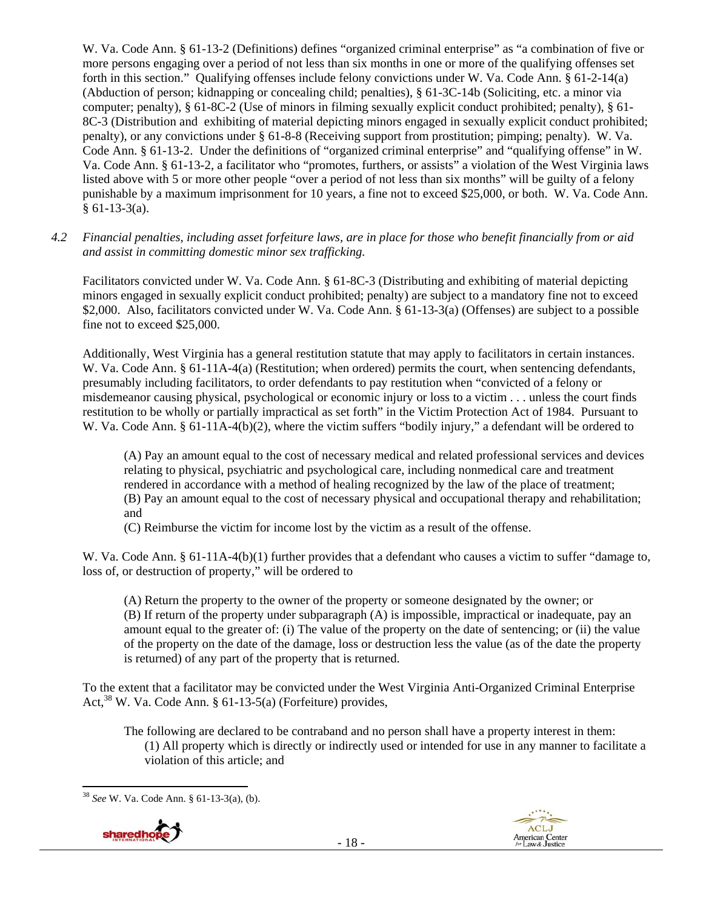W. Va. Code Ann. § 61-13-2 (Definitions) defines "organized criminal enterprise" as "a combination of five or more persons engaging over a period of not less than six months in one or more of the qualifying offenses set forth in this section." Qualifying offenses include felony convictions under W. Va. Code Ann. § 61-2-14(a) (Abduction of person; kidnapping or concealing child; penalties), § 61-3C-14b (Soliciting, etc. a minor via computer; penalty), § 61-8C-2 (Use of minors in filming sexually explicit conduct prohibited; penalty), § 61- 8C-3 (Distribution and exhibiting of material depicting minors engaged in sexually explicit conduct prohibited; penalty), or any convictions under § 61-8-8 (Receiving support from prostitution; pimping; penalty). W. Va. Code Ann. § 61-13-2. Under the definitions of "organized criminal enterprise" and "qualifying offense" in W. Va. Code Ann. § 61-13-2, a facilitator who "promotes, furthers, or assists" a violation of the West Virginia laws listed above with 5 or more other people "over a period of not less than six months" will be guilty of a felony punishable by a maximum imprisonment for 10 years, a fine not to exceed \$25,000, or both. W. Va. Code Ann.  $§ 61-13-3(a).$ 

*4.2 Financial penalties, including asset forfeiture laws, are in place for those who benefit financially from or aid and assist in committing domestic minor sex trafficking.* 

Facilitators convicted under W. Va. Code Ann. § 61-8C-3 (Distributing and exhibiting of material depicting minors engaged in sexually explicit conduct prohibited; penalty) are subject to a mandatory fine not to exceed \$2,000. Also, facilitators convicted under W. Va. Code Ann. § 61-13-3(a) (Offenses) are subject to a possible fine not to exceed \$25,000.

Additionally, West Virginia has a general restitution statute that may apply to facilitators in certain instances. W. Va. Code Ann. § 61-11A-4(a) (Restitution; when ordered) permits the court, when sentencing defendants, presumably including facilitators, to order defendants to pay restitution when "convicted of a felony or misdemeanor causing physical, psychological or economic injury or loss to a victim . . . unless the court finds restitution to be wholly or partially impractical as set forth" in the Victim Protection Act of 1984. Pursuant to W. Va. Code Ann. § 61-11A-4(b)(2), where the victim suffers "bodily injury," a defendant will be ordered to

(A) Pay an amount equal to the cost of necessary medical and related professional services and devices relating to physical, psychiatric and psychological care, including nonmedical care and treatment rendered in accordance with a method of healing recognized by the law of the place of treatment; (B) Pay an amount equal to the cost of necessary physical and occupational therapy and rehabilitation; and

(C) Reimburse the victim for income lost by the victim as a result of the offense.

W. Va. Code Ann. § 61-11A-4(b)(1) further provides that a defendant who causes a victim to suffer "damage to, loss of, or destruction of property," will be ordered to

(A) Return the property to the owner of the property or someone designated by the owner; or (B) If return of the property under subparagraph (A) is impossible, impractical or inadequate, pay an amount equal to the greater of: (i) The value of the property on the date of sentencing; or (ii) the value of the property on the date of the damage, loss or destruction less the value (as of the date the property is returned) of any part of the property that is returned.

To the extent that a facilitator may be convicted under the West Virginia Anti-Organized Criminal Enterprise Act,  $38$  W. Va. Code Ann. § 61-13-5(a) (Forfeiture) provides,

The following are declared to be contraband and no person shall have a property interest in them: (1) All property which is directly or indirectly used or intended for use in any manner to facilitate a violation of this article; and

 <sup>38</sup> *See* W. Va. Code Ann. § 61-13-3(a), (b).



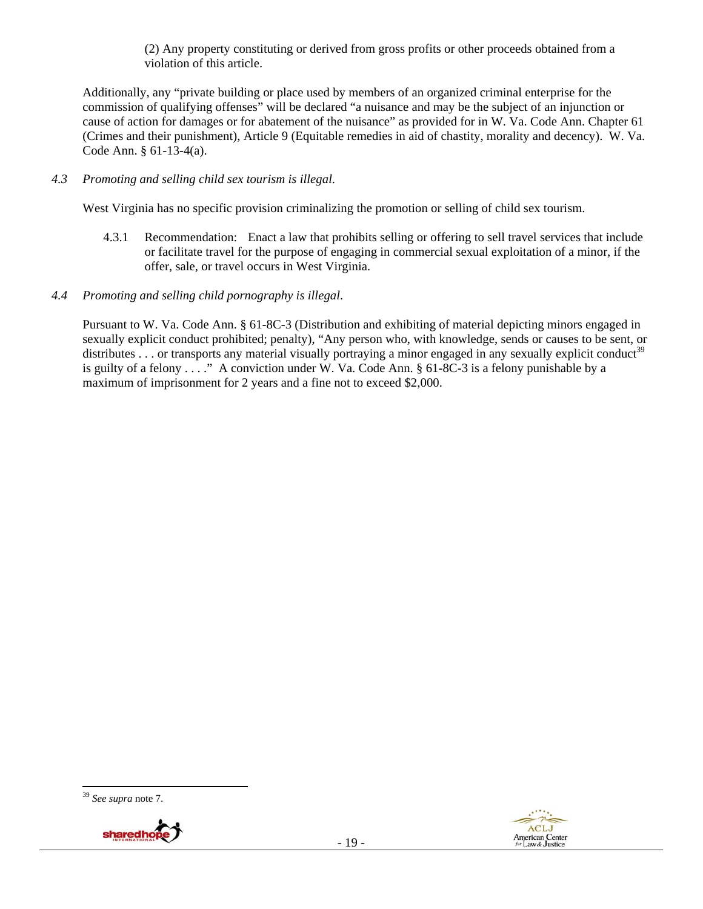(2) Any property constituting or derived from gross profits or other proceeds obtained from a violation of this article.

Additionally, any "private building or place used by members of an organized criminal enterprise for the commission of qualifying offenses" will be declared "a nuisance and may be the subject of an injunction or cause of action for damages or for abatement of the nuisance" as provided for in W. Va. Code Ann. Chapter 61 (Crimes and their punishment), Article 9 (Equitable remedies in aid of chastity, morality and decency). W. Va. Code Ann. § 61-13-4(a).

## *4.3 Promoting and selling child sex tourism is illegal*.

West Virginia has no specific provision criminalizing the promotion or selling of child sex tourism.

- 4.3.1 Recommendation: Enact a law that prohibits selling or offering to sell travel services that include or facilitate travel for the purpose of engaging in commercial sexual exploitation of a minor, if the offer, sale, or travel occurs in West Virginia.
- *4.4 Promoting and selling child pornography is illegal*.

Pursuant to W. Va. Code Ann. § 61-8C-3 (Distribution and exhibiting of material depicting minors engaged in sexually explicit conduct prohibited; penalty), "Any person who, with knowledge, sends or causes to be sent, or distributes . . . or transports any material visually portraying a minor engaged in any sexually explicit conduct<sup>39</sup> is guilty of a felony . . . ." A conviction under W. Va. Code Ann. § 61-8C-3 is a felony punishable by a maximum of imprisonment for 2 years and a fine not to exceed \$2,000.

<sup>39</sup> *See supra* note 7.



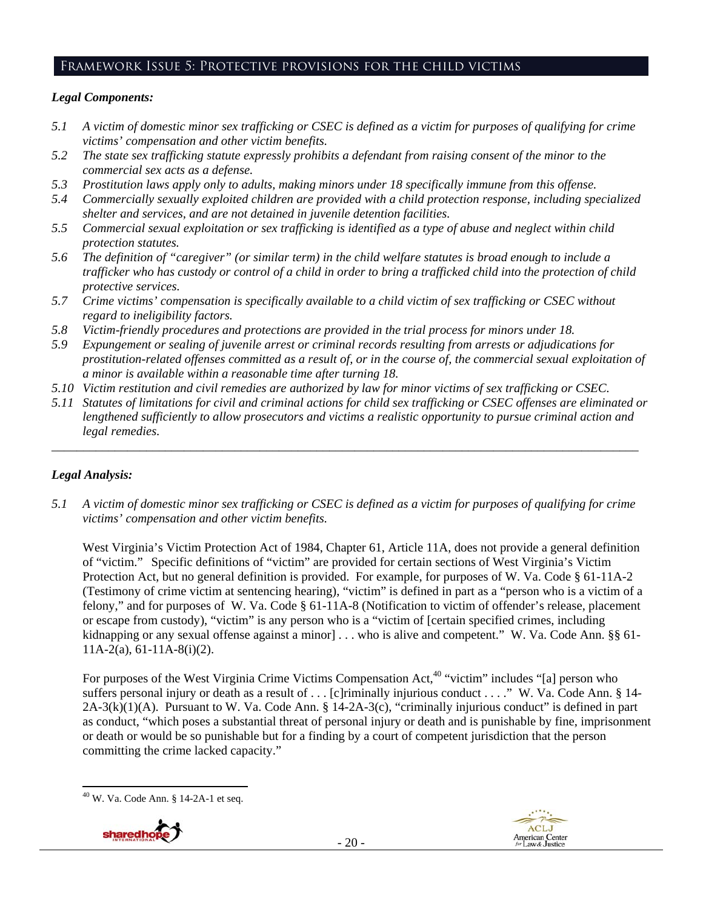# Framework Issue 5: Protective provisions for the child victims

## *Legal Components:*

- *5.1 A victim of domestic minor sex trafficking or CSEC is defined as a victim for purposes of qualifying for crime victims' compensation and other victim benefits.*
- *5.2 The state sex trafficking statute expressly prohibits a defendant from raising consent of the minor to the commercial sex acts as a defense.*
- *5.3 Prostitution laws apply only to adults, making minors under 18 specifically immune from this offense.*
- *5.4 Commercially sexually exploited children are provided with a child protection response, including specialized shelter and services, and are not detained in juvenile detention facilities.*
- *5.5 Commercial sexual exploitation or sex trafficking is identified as a type of abuse and neglect within child protection statutes.*
- *5.6 The definition of "caregiver" (or similar term) in the child welfare statutes is broad enough to include a trafficker who has custody or control of a child in order to bring a trafficked child into the protection of child protective services.*
- *5.7 Crime victims' compensation is specifically available to a child victim of sex trafficking or CSEC without regard to ineligibility factors.*
- *5.8 Victim-friendly procedures and protections are provided in the trial process for minors under 18.*
- *5.9 Expungement or sealing of juvenile arrest or criminal records resulting from arrests or adjudications for prostitution-related offenses committed as a result of, or in the course of, the commercial sexual exploitation of a minor is available within a reasonable time after turning 18.*
- *5.10 Victim restitution and civil remedies are authorized by law for minor victims of sex trafficking or CSEC.*
- *5.11 Statutes of limitations for civil and criminal actions for child sex trafficking or CSEC offenses are eliminated or lengthened sufficiently to allow prosecutors and victims a realistic opportunity to pursue criminal action and legal remedies.*

*\_\_\_\_\_\_\_\_\_\_\_\_\_\_\_\_\_\_\_\_\_\_\_\_\_\_\_\_\_\_\_\_\_\_\_\_\_\_\_\_\_\_\_\_\_\_\_\_\_\_\_\_\_\_\_\_\_\_\_\_\_\_\_\_\_\_\_\_\_\_\_\_\_\_\_\_\_\_\_\_\_\_\_\_\_\_\_\_\_\_\_\_\_* 

## *Legal Analysis:*

*5.1 A victim of domestic minor sex trafficking or CSEC is defined as a victim for purposes of qualifying for crime victims' compensation and other victim benefits.* 

West Virginia's Victim Protection Act of 1984, Chapter 61, Article 11A, does not provide a general definition of "victim." Specific definitions of "victim" are provided for certain sections of West Virginia's Victim Protection Act, but no general definition is provided. For example, for purposes of W. Va. Code § 61-11A-2 (Testimony of crime victim at sentencing hearing), "victim" is defined in part as a "person who is a victim of a felony," and for purposes of W. Va. Code § 61-11A-8 (Notification to victim of offender's release, placement or escape from custody), "victim" is any person who is a "victim of [certain specified crimes, including kidnapping or any sexual offense against a minor] . . . who is alive and competent." W. Va. Code Ann. §§ 61-11A-2(a), 61-11A-8(i)(2).

For purposes of the West Virginia Crime Victims Compensation Act,<sup>40</sup> "victim" includes "[a] person who suffers personal injury or death as a result of . . . [c]riminally injurious conduct . . . ." W. Va. Code Ann. § 14-2A-3(k)(1)(A). Pursuant to W. Va. Code Ann. § 14-2A-3(c), "criminally injurious conduct" is defined in part as conduct, "which poses a substantial threat of personal injury or death and is punishable by fine, imprisonment or death or would be so punishable but for a finding by a court of competent jurisdiction that the person committing the crime lacked capacity."

  $40$  W. Va. Code Ann. § 14-2A-1 et seq.



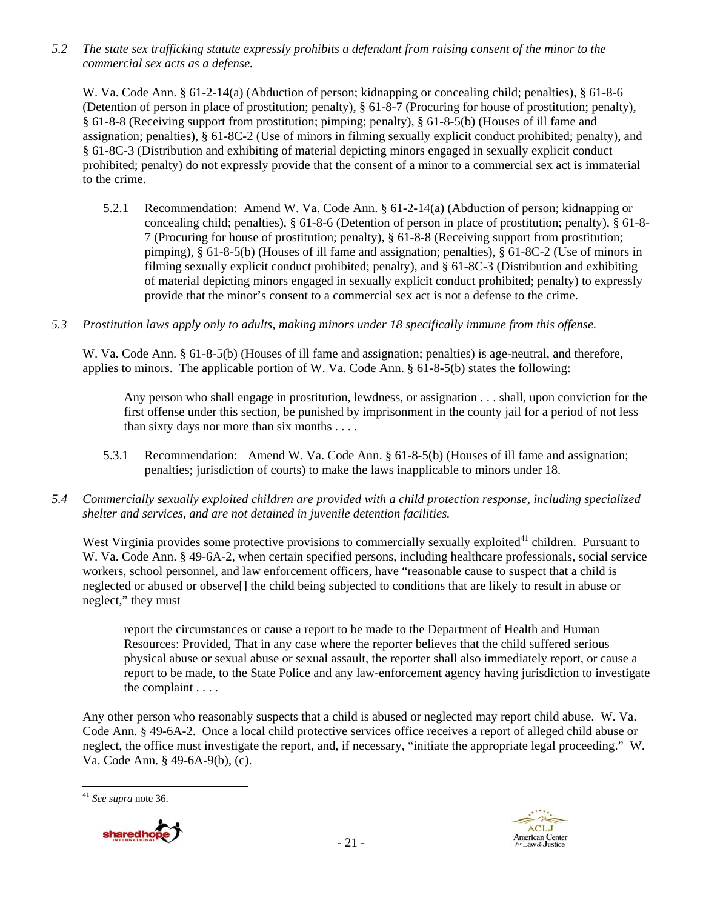*5.2 The state sex trafficking statute expressly prohibits a defendant from raising consent of the minor to the commercial sex acts as a defense.* 

W. Va. Code Ann. § 61-2-14(a) (Abduction of person; kidnapping or concealing child; penalties), § 61-8-6 (Detention of person in place of prostitution; penalty), § 61-8-7 (Procuring for house of prostitution; penalty), § 61-8-8 (Receiving support from prostitution; pimping; penalty), § 61-8-5(b) (Houses of ill fame and assignation; penalties), § 61-8C-2 (Use of minors in filming sexually explicit conduct prohibited; penalty), and § 61-8C-3 (Distribution and exhibiting of material depicting minors engaged in sexually explicit conduct prohibited; penalty) do not expressly provide that the consent of a minor to a commercial sex act is immaterial to the crime.

- 5.2.1 Recommendation: Amend W. Va. Code Ann. § 61-2-14(a) (Abduction of person; kidnapping or concealing child; penalties), § 61-8-6 (Detention of person in place of prostitution; penalty), § 61-8- 7 (Procuring for house of prostitution; penalty), § 61-8-8 (Receiving support from prostitution; pimping), § 61-8-5(b) (Houses of ill fame and assignation; penalties), § 61-8C-2 (Use of minors in filming sexually explicit conduct prohibited; penalty), and § 61-8C-3 (Distribution and exhibiting of material depicting minors engaged in sexually explicit conduct prohibited; penalty) to expressly provide that the minor's consent to a commercial sex act is not a defense to the crime.
- *5.3 Prostitution laws apply only to adults, making minors under 18 specifically immune from this offense.*

W. Va. Code Ann. § 61-8-5(b) (Houses of ill fame and assignation; penalties) is age-neutral, and therefore, applies to minors. The applicable portion of W. Va. Code Ann. § 61-8-5(b) states the following:

Any person who shall engage in prostitution, lewdness, or assignation . . . shall, upon conviction for the first offense under this section, be punished by imprisonment in the county jail for a period of not less than sixty days nor more than six months . . . .

- 5.3.1 Recommendation: Amend W. Va. Code Ann. § 61-8-5(b) (Houses of ill fame and assignation; penalties; jurisdiction of courts) to make the laws inapplicable to minors under 18.
- *5.4 Commercially sexually exploited children are provided with a child protection response, including specialized shelter and services, and are not detained in juvenile detention facilities.*

West Virginia provides some protective provisions to commercially sexually exploited<sup>41</sup> children. Pursuant to W. Va. Code Ann. § 49-6A-2, when certain specified persons, including healthcare professionals, social service workers, school personnel, and law enforcement officers, have "reasonable cause to suspect that a child is neglected or abused or observe[] the child being subjected to conditions that are likely to result in abuse or neglect," they must

report the circumstances or cause a report to be made to the Department of Health and Human Resources: Provided, That in any case where the reporter believes that the child suffered serious physical abuse or sexual abuse or sexual assault, the reporter shall also immediately report, or cause a report to be made, to the State Police and any law-enforcement agency having jurisdiction to investigate the complaint . . . .

Any other person who reasonably suspects that a child is abused or neglected may report child abuse. W. Va. Code Ann. § 49-6A-2. Once a local child protective services office receives a report of alleged child abuse or neglect, the office must investigate the report, and, if necessary, "initiate the appropriate legal proceeding." W. Va. Code Ann. § 49-6A-9(b), (c).

<sup>41</sup> *See supra* note 36.



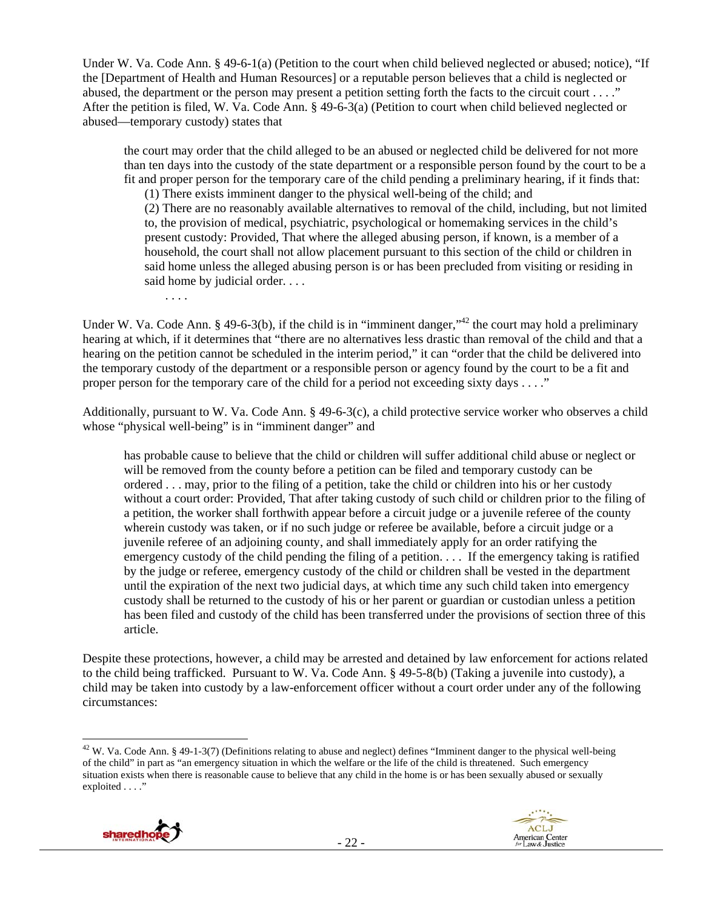Under W. Va. Code Ann. § 49-6-1(a) (Petition to the court when child believed neglected or abused; notice), "If the [Department of Health and Human Resources] or a reputable person believes that a child is neglected or abused, the department or the person may present a petition setting forth the facts to the circuit court . . . ." After the petition is filed, W. Va. Code Ann. § 49-6-3(a) (Petition to court when child believed neglected or abused—temporary custody) states that

the court may order that the child alleged to be an abused or neglected child be delivered for not more than ten days into the custody of the state department or a responsible person found by the court to be a fit and proper person for the temporary care of the child pending a preliminary hearing, if it finds that:

(1) There exists imminent danger to the physical well-being of the child; and (2) There are no reasonably available alternatives to removal of the child, including, but not limited to, the provision of medical, psychiatric, psychological or homemaking services in the child's present custody: Provided, That where the alleged abusing person, if known, is a member of a household, the court shall not allow placement pursuant to this section of the child or children in said home unless the alleged abusing person is or has been precluded from visiting or residing in said home by judicial order. . . .

. . . .

Under W. Va. Code Ann. § 49-6-3(b), if the child is in "imminent danger,"<sup>42</sup> the court may hold a preliminary hearing at which, if it determines that "there are no alternatives less drastic than removal of the child and that a hearing on the petition cannot be scheduled in the interim period," it can "order that the child be delivered into the temporary custody of the department or a responsible person or agency found by the court to be a fit and proper person for the temporary care of the child for a period not exceeding sixty days . . . ."

Additionally, pursuant to W. Va. Code Ann. § 49-6-3(c), a child protective service worker who observes a child whose "physical well-being" is in "imminent danger" and

has probable cause to believe that the child or children will suffer additional child abuse or neglect or will be removed from the county before a petition can be filed and temporary custody can be ordered . . . may, prior to the filing of a petition, take the child or children into his or her custody without a court order: Provided, That after taking custody of such child or children prior to the filing of a petition, the worker shall forthwith appear before a circuit judge or a juvenile referee of the county wherein custody was taken, or if no such judge or referee be available, before a circuit judge or a juvenile referee of an adjoining county, and shall immediately apply for an order ratifying the emergency custody of the child pending the filing of a petition. . . . If the emergency taking is ratified by the judge or referee, emergency custody of the child or children shall be vested in the department until the expiration of the next two judicial days, at which time any such child taken into emergency custody shall be returned to the custody of his or her parent or guardian or custodian unless a petition has been filed and custody of the child has been transferred under the provisions of section three of this article.

Despite these protections, however, a child may be arrested and detained by law enforcement for actions related to the child being trafficked. Pursuant to W. Va. Code Ann. § 49-5-8(b) (Taking a juvenile into custody), a child may be taken into custody by a law-enforcement officer without a court order under any of the following circumstances:

  $42$  W. Va. Code Ann. § 49-1-3(7) (Definitions relating to abuse and neglect) defines "Imminent danger to the physical well-being of the child" in part as "an emergency situation in which the welfare or the life of the child is threatened. Such emergency situation exists when there is reasonable cause to believe that any child in the home is or has been sexually abused or sexually exploited . . . ."

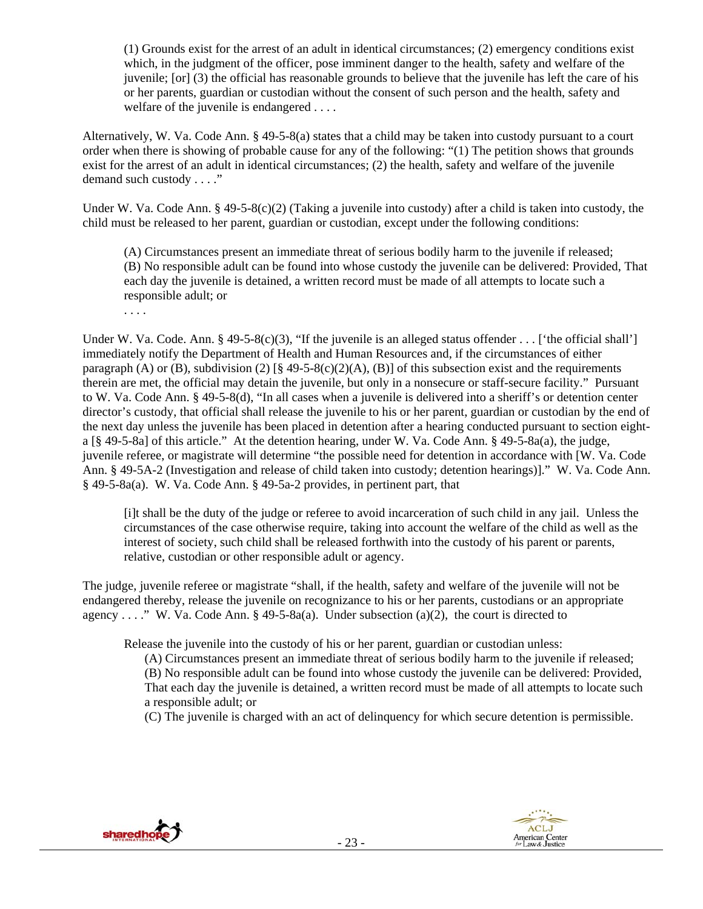(1) Grounds exist for the arrest of an adult in identical circumstances; (2) emergency conditions exist which, in the judgment of the officer, pose imminent danger to the health, safety and welfare of the juvenile; [or] (3) the official has reasonable grounds to believe that the juvenile has left the care of his or her parents, guardian or custodian without the consent of such person and the health, safety and welfare of the juvenile is endangered . . . .

Alternatively, W. Va. Code Ann. § 49-5-8(a) states that a child may be taken into custody pursuant to a court order when there is showing of probable cause for any of the following: "(1) The petition shows that grounds exist for the arrest of an adult in identical circumstances; (2) the health, safety and welfare of the juvenile demand such custody . . . ."

Under W. Va. Code Ann. § 49-5-8(c)(2) (Taking a juvenile into custody) after a child is taken into custody, the child must be released to her parent, guardian or custodian, except under the following conditions:

(A) Circumstances present an immediate threat of serious bodily harm to the juvenile if released; (B) No responsible adult can be found into whose custody the juvenile can be delivered: Provided, That each day the juvenile is detained, a written record must be made of all attempts to locate such a responsible adult; or

. . . .

Under W. Va. Code. Ann. § 49-5-8(c)(3), "If the juvenile is an alleged status offender . . . ['the official shall'] immediately notify the Department of Health and Human Resources and, if the circumstances of either paragraph (A) or (B), subdivision (2)  $\lbrack \S$  49-5-8(c)(2)(A), (B)] of this subsection exist and the requirements therein are met, the official may detain the juvenile, but only in a nonsecure or staff-secure facility." Pursuant to W. Va. Code Ann. § 49-5-8(d), "In all cases when a juvenile is delivered into a sheriff's or detention center director's custody, that official shall release the juvenile to his or her parent, guardian or custodian by the end of the next day unless the juvenile has been placed in detention after a hearing conducted pursuant to section eighta [§ 49-5-8a] of this article." At the detention hearing, under W. Va. Code Ann. § 49-5-8a(a), the judge, juvenile referee, or magistrate will determine "the possible need for detention in accordance with [W. Va. Code Ann. § 49-5A-2 (Investigation and release of child taken into custody; detention hearings)]." W. Va. Code Ann. § 49-5-8a(a). W. Va. Code Ann. § 49-5a-2 provides, in pertinent part, that

[i]t shall be the duty of the judge or referee to avoid incarceration of such child in any jail. Unless the circumstances of the case otherwise require, taking into account the welfare of the child as well as the interest of society, such child shall be released forthwith into the custody of his parent or parents, relative, custodian or other responsible adult or agency.

The judge, juvenile referee or magistrate "shall, if the health, safety and welfare of the juvenile will not be endangered thereby, release the juvenile on recognizance to his or her parents, custodians or an appropriate agency . . . ." W. Va. Code Ann. § 49-5-8a(a). Under subsection (a)(2), the court is directed to

Release the juvenile into the custody of his or her parent, guardian or custodian unless:

(A) Circumstances present an immediate threat of serious bodily harm to the juvenile if released; (B) No responsible adult can be found into whose custody the juvenile can be delivered: Provided, That each day the juvenile is detained, a written record must be made of all attempts to locate such

a responsible adult; or

(C) The juvenile is charged with an act of delinquency for which secure detention is permissible.



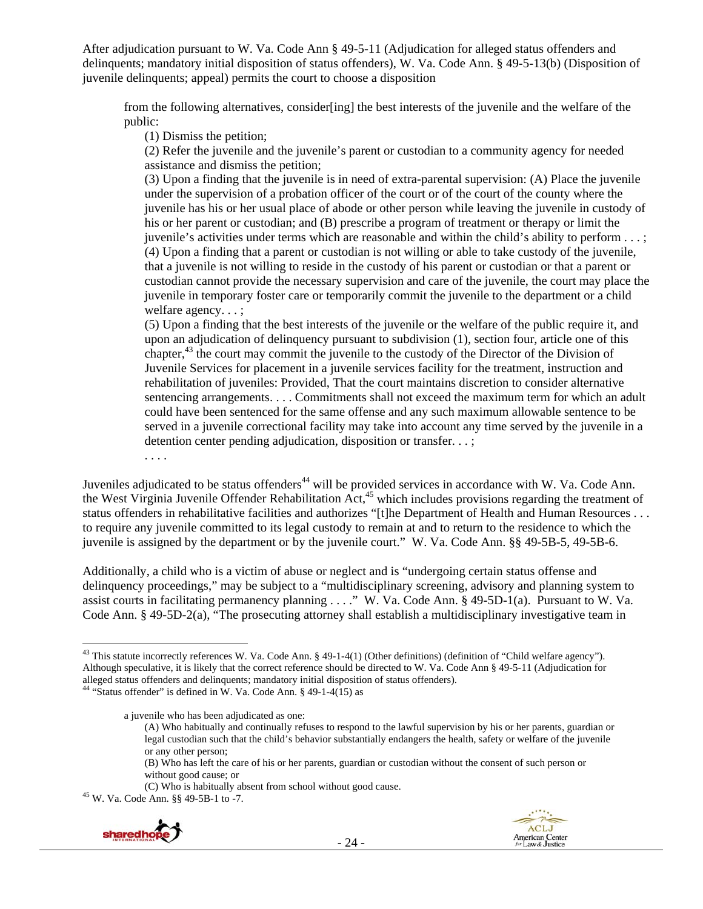After adjudication pursuant to W. Va. Code Ann § 49-5-11 (Adjudication for alleged status offenders and delinquents; mandatory initial disposition of status offenders), W. Va. Code Ann. § 49-5-13(b) (Disposition of juvenile delinquents; appeal) permits the court to choose a disposition

from the following alternatives, consider[ing] the best interests of the juvenile and the welfare of the public:

(1) Dismiss the petition;

(2) Refer the juvenile and the juvenile's parent or custodian to a community agency for needed assistance and dismiss the petition;

(3) Upon a finding that the juvenile is in need of extra-parental supervision: (A) Place the juvenile under the supervision of a probation officer of the court or of the court of the county where the juvenile has his or her usual place of abode or other person while leaving the juvenile in custody of his or her parent or custodian; and (B) prescribe a program of treatment or therapy or limit the juvenile's activities under terms which are reasonable and within the child's ability to perform . . . ; (4) Upon a finding that a parent or custodian is not willing or able to take custody of the juvenile, that a juvenile is not willing to reside in the custody of his parent or custodian or that a parent or custodian cannot provide the necessary supervision and care of the juvenile, the court may place the juvenile in temporary foster care or temporarily commit the juvenile to the department or a child welfare agency. . . ;

(5) Upon a finding that the best interests of the juvenile or the welfare of the public require it, and upon an adjudication of delinquency pursuant to subdivision (1), section four, article one of this chapter,43 the court may commit the juvenile to the custody of the Director of the Division of Juvenile Services for placement in a juvenile services facility for the treatment, instruction and rehabilitation of juveniles: Provided, That the court maintains discretion to consider alternative sentencing arrangements. . . . Commitments shall not exceed the maximum term for which an adult could have been sentenced for the same offense and any such maximum allowable sentence to be served in a juvenile correctional facility may take into account any time served by the juvenile in a detention center pending adjudication, disposition or transfer. . . ;

. . . .

Juveniles adjudicated to be status offenders<sup>44</sup> will be provided services in accordance with W. Va. Code Ann. the West Virginia Juvenile Offender Rehabilitation Act,<sup>45</sup> which includes provisions regarding the treatment of status offenders in rehabilitative facilities and authorizes "[t]he Department of Health and Human Resources . . . to require any juvenile committed to its legal custody to remain at and to return to the residence to which the juvenile is assigned by the department or by the juvenile court." W. Va. Code Ann. §§ 49-5B-5, 49-5B-6.

Additionally, a child who is a victim of abuse or neglect and is "undergoing certain status offense and delinquency proceedings," may be subject to a "multidisciplinary screening, advisory and planning system to assist courts in facilitating permanency planning . . . ." W. Va. Code Ann. § 49-5D-1(a). Pursuant to W. Va. Code Ann. § 49-5D-2(a), "The prosecuting attorney shall establish a multidisciplinary investigative team in

(C) Who is habitually absent from school without good cause. 45 W. Va. Code Ann. §§ 49-5B-1 to -7.



 <sup>43</sup> This statute incorrectly references W. Va. Code Ann. § 49-1-4(1) (Other definitions) (definition of "Child welfare agency"). Although speculative, it is likely that the correct reference should be directed to W. Va. Code Ann § 49-5-11 (Adjudication for alleged status offenders and delinquents; mandatory initial disposition of status offenders). 44 "Status offender" is defined in W. Va. Code Ann. § 49-1-4(15) as

a juvenile who has been adjudicated as one:

<sup>(</sup>A) Who habitually and continually refuses to respond to the lawful supervision by his or her parents, guardian or legal custodian such that the child's behavior substantially endangers the health, safety or welfare of the juvenile or any other person;

<sup>(</sup>B) Who has left the care of his or her parents, guardian or custodian without the consent of such person or without good cause; or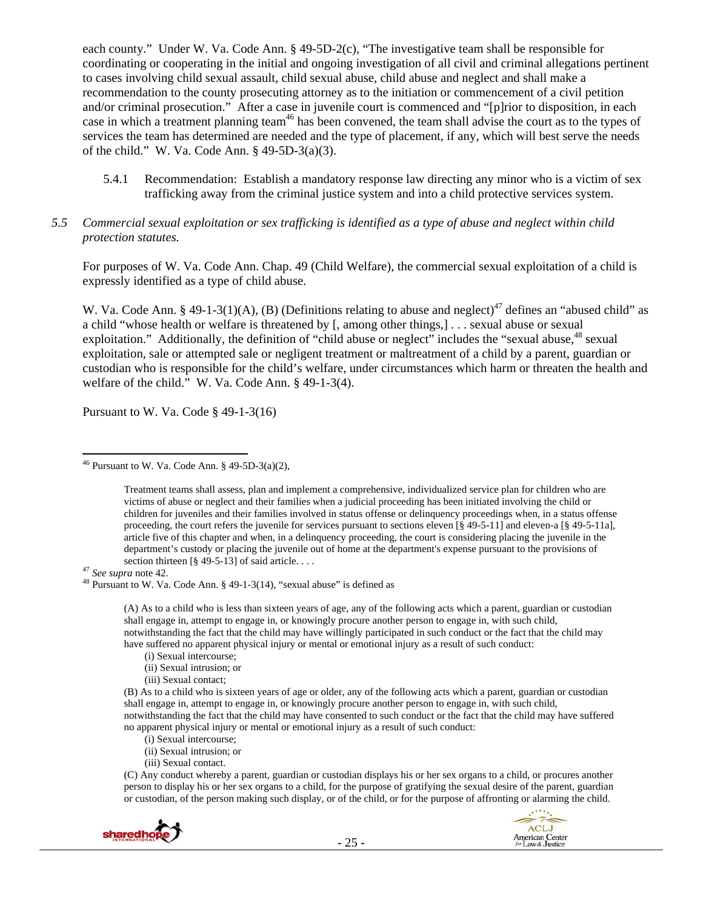each county." Under W. Va. Code Ann. § 49-5D-2(c), "The investigative team shall be responsible for coordinating or cooperating in the initial and ongoing investigation of all civil and criminal allegations pertinent to cases involving child sexual assault, child sexual abuse, child abuse and neglect and shall make a recommendation to the county prosecuting attorney as to the initiation or commencement of a civil petition and/or criminal prosecution." After a case in juvenile court is commenced and "[p]rior to disposition, in each case in which a treatment planning team<sup>46</sup> has been convened, the team shall advise the court as to the types of services the team has determined are needed and the type of placement, if any, which will best serve the needs of the child." W. Va. Code Ann. § 49-5D-3(a)(3).

- 5.4.1 Recommendation: Establish a mandatory response law directing any minor who is a victim of sex trafficking away from the criminal justice system and into a child protective services system.
- *5.5 Commercial sexual exploitation or sex trafficking is identified as a type of abuse and neglect within child protection statutes.*

For purposes of W. Va. Code Ann. Chap. 49 (Child Welfare), the commercial sexual exploitation of a child is expressly identified as a type of child abuse.

W. Va. Code Ann. § 49-1-3(1)(A), (B) (Definitions relating to abuse and neglect)<sup>47</sup> defines an "abused child" as a child "whose health or welfare is threatened by [, among other things,] . . . sexual abuse or sexual exploitation." Additionally, the definition of "child abuse or neglect" includes the "sexual abuse,<sup>48</sup> sexual exploitation, sale or attempted sale or negligent treatment or maltreatment of a child by a parent, guardian or custodian who is responsible for the child's welfare, under circumstances which harm or threaten the health and welfare of the child." W. Va. Code Ann. § 49-1-3(4).

Pursuant to W. Va. Code § 49-1-3(16)

<sup>47</sup> See supra note 42.<br><sup>48</sup> Pursuant to W. Va. Code Ann. § 49-1-3(14), "sexual abuse" is defined as

(A) As to a child who is less than sixteen years of age, any of the following acts which a parent, guardian or custodian shall engage in, attempt to engage in, or knowingly procure another person to engage in, with such child, notwithstanding the fact that the child may have willingly participated in such conduct or the fact that the child may have suffered no apparent physical injury or mental or emotional injury as a result of such conduct:

- (i) Sexual intercourse;
- (ii) Sexual intrusion; or
- (iii) Sexual contact;

(B) As to a child who is sixteen years of age or older, any of the following acts which a parent, guardian or custodian shall engage in, attempt to engage in, or knowingly procure another person to engage in, with such child, notwithstanding the fact that the child may have consented to such conduct or the fact that the child may have suffered no apparent physical injury or mental or emotional injury as a result of such conduct:

- (i) Sexual intercourse;
- (ii) Sexual intrusion; or
- (iii) Sexual contact.

(C) Any conduct whereby a parent, guardian or custodian displays his or her sex organs to a child, or procures another person to display his or her sex organs to a child, for the purpose of gratifying the sexual desire of the parent, guardian or custodian, of the person making such display, or of the child, or for the purpose of affronting or alarming the child.





 <sup>46</sup> Pursuant to W. Va. Code Ann. § 49-5D-3(a)(2),

Treatment teams shall assess, plan and implement a comprehensive, individualized service plan for children who are victims of abuse or neglect and their families when a judicial proceeding has been initiated involving the child or children for juveniles and their families involved in status offense or delinquency proceedings when, in a status offense proceeding, the court refers the juvenile for services pursuant to sections eleven  $\lceil \S 49 - 5 - 11 \rceil$  and eleven-a  $\lceil \S 49 - 5 - 11 \rceil$ , article five of this chapter and when, in a delinquency proceeding, the court is considering placing the juvenile in the department's custody or placing the juvenile out of home at the department's expense pursuant to the provisions of section thirteen  $\lceil \frac{8}{2} \cdot 49 - 5 - 13 \rceil$  of said article....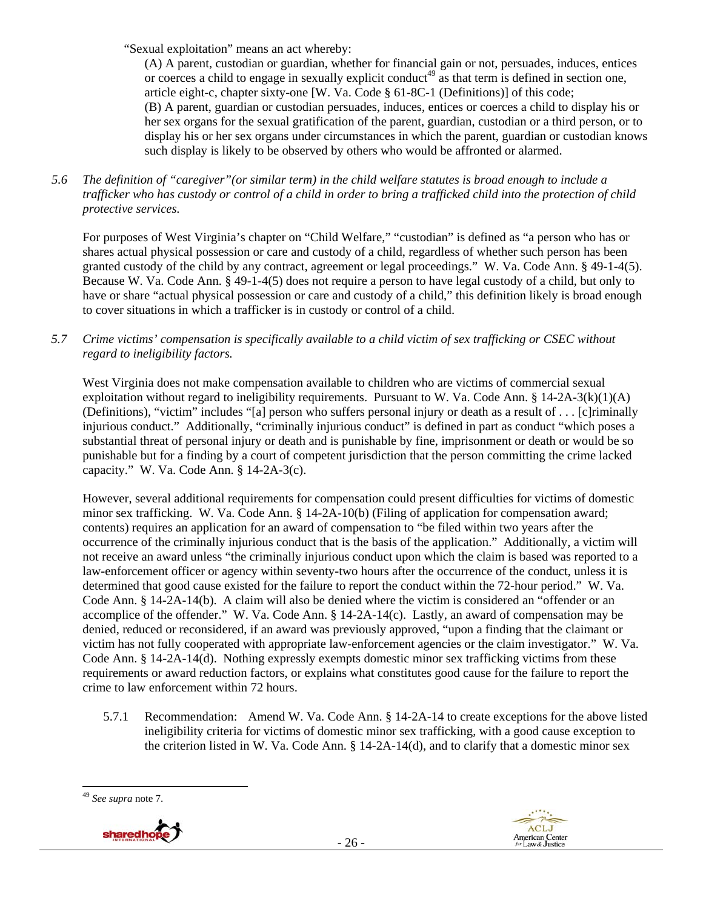"Sexual exploitation" means an act whereby:

(A) A parent, custodian or guardian, whether for financial gain or not, persuades, induces, entices or coerces a child to engage in sexually explicit conduct<sup>49</sup> as that term is defined in section one, article eight-c, chapter sixty-one [W. Va. Code § 61-8C-1 (Definitions)] of this code; (B) A parent, guardian or custodian persuades, induces, entices or coerces a child to display his or her sex organs for the sexual gratification of the parent, guardian, custodian or a third person, or to display his or her sex organs under circumstances in which the parent, guardian or custodian knows such display is likely to be observed by others who would be affronted or alarmed.

*5.6 The definition of "caregiver"(or similar term) in the child welfare statutes is broad enough to include a trafficker who has custody or control of a child in order to bring a trafficked child into the protection of child protective services.* 

For purposes of West Virginia's chapter on "Child Welfare," "custodian" is defined as "a person who has or shares actual physical possession or care and custody of a child, regardless of whether such person has been granted custody of the child by any contract, agreement or legal proceedings." W. Va. Code Ann. § 49-1-4(5). Because W. Va. Code Ann. § 49-1-4(5) does not require a person to have legal custody of a child, but only to have or share "actual physical possession or care and custody of a child," this definition likely is broad enough to cover situations in which a trafficker is in custody or control of a child.

*5.7 Crime victims' compensation is specifically available to a child victim of sex trafficking or CSEC without regard to ineligibility factors.* 

West Virginia does not make compensation available to children who are victims of commercial sexual exploitation without regard to ineligibility requirements. Pursuant to W. Va. Code Ann. §  $14-2A-3(k)(1)(A)$ (Definitions), "victim" includes "[a] person who suffers personal injury or death as a result of . . . [c]riminally injurious conduct." Additionally, "criminally injurious conduct" is defined in part as conduct "which poses a substantial threat of personal injury or death and is punishable by fine, imprisonment or death or would be so punishable but for a finding by a court of competent jurisdiction that the person committing the crime lacked capacity." W. Va. Code Ann. § 14-2A-3(c).

However, several additional requirements for compensation could present difficulties for victims of domestic minor sex trafficking. W. Va. Code Ann. § 14-2A-10(b) (Filing of application for compensation award; contents) requires an application for an award of compensation to "be filed within two years after the occurrence of the criminally injurious conduct that is the basis of the application." Additionally, a victim will not receive an award unless "the criminally injurious conduct upon which the claim is based was reported to a law-enforcement officer or agency within seventy-two hours after the occurrence of the conduct, unless it is determined that good cause existed for the failure to report the conduct within the 72-hour period." W. Va. Code Ann. § 14-2A-14(b). A claim will also be denied where the victim is considered an "offender or an accomplice of the offender." W. Va. Code Ann. § 14-2A-14(c). Lastly, an award of compensation may be denied, reduced or reconsidered, if an award was previously approved, "upon a finding that the claimant or victim has not fully cooperated with appropriate law-enforcement agencies or the claim investigator." W. Va. Code Ann. § 14-2A-14(d). Nothing expressly exempts domestic minor sex trafficking victims from these requirements or award reduction factors, or explains what constitutes good cause for the failure to report the crime to law enforcement within 72 hours.

5.7.1 Recommendation: Amend W. Va. Code Ann. § 14-2A-14 to create exceptions for the above listed ineligibility criteria for victims of domestic minor sex trafficking, with a good cause exception to the criterion listed in W. Va. Code Ann.  $\S$  14-2A-14(d), and to clarify that a domestic minor sex

<sup>49</sup> *See supra* note 7.



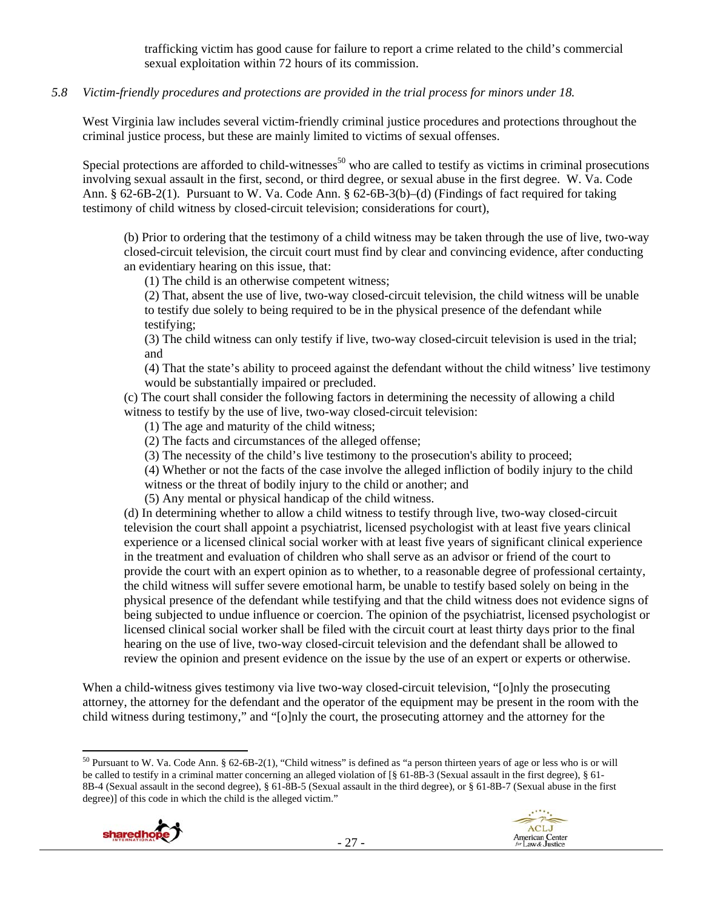trafficking victim has good cause for failure to report a crime related to the child's commercial sexual exploitation within 72 hours of its commission.

## *5.8 Victim-friendly procedures and protections are provided in the trial process for minors under 18.*

West Virginia law includes several victim-friendly criminal justice procedures and protections throughout the criminal justice process, but these are mainly limited to victims of sexual offenses.

Special protections are afforded to child-witnesses<sup>50</sup> who are called to testify as victims in criminal prosecutions involving sexual assault in the first, second, or third degree, or sexual abuse in the first degree. W. Va. Code Ann. § 62-6B-2(1). Pursuant to W. Va. Code Ann. § 62-6B-3(b)–(d) (Findings of fact required for taking testimony of child witness by closed-circuit television; considerations for court),

(b) Prior to ordering that the testimony of a child witness may be taken through the use of live, two-way closed-circuit television, the circuit court must find by clear and convincing evidence, after conducting an evidentiary hearing on this issue, that:

(1) The child is an otherwise competent witness;

(2) That, absent the use of live, two-way closed-circuit television, the child witness will be unable to testify due solely to being required to be in the physical presence of the defendant while testifying;

(3) The child witness can only testify if live, two-way closed-circuit television is used in the trial; and

(4) That the state's ability to proceed against the defendant without the child witness' live testimony would be substantially impaired or precluded.

(c) The court shall consider the following factors in determining the necessity of allowing a child witness to testify by the use of live, two-way closed-circuit television:

(1) The age and maturity of the child witness;

(2) The facts and circumstances of the alleged offense;

(3) The necessity of the child's live testimony to the prosecution's ability to proceed;

(4) Whether or not the facts of the case involve the alleged infliction of bodily injury to the child witness or the threat of bodily injury to the child or another; and

(5) Any mental or physical handicap of the child witness.

(d) In determining whether to allow a child witness to testify through live, two-way closed-circuit television the court shall appoint a psychiatrist, licensed psychologist with at least five years clinical experience or a licensed clinical social worker with at least five years of significant clinical experience in the treatment and evaluation of children who shall serve as an advisor or friend of the court to provide the court with an expert opinion as to whether, to a reasonable degree of professional certainty, the child witness will suffer severe emotional harm, be unable to testify based solely on being in the physical presence of the defendant while testifying and that the child witness does not evidence signs of being subjected to undue influence or coercion. The opinion of the psychiatrist, licensed psychologist or licensed clinical social worker shall be filed with the circuit court at least thirty days prior to the final hearing on the use of live, two-way closed-circuit television and the defendant shall be allowed to review the opinion and present evidence on the issue by the use of an expert or experts or otherwise.

When a child-witness gives testimony via live two-way closed-circuit television, "[o]nly the prosecuting attorney, the attorney for the defendant and the operator of the equipment may be present in the room with the child witness during testimony," and "[o]nly the court, the prosecuting attorney and the attorney for the

  $50$  Pursuant to W. Va. Code Ann. § 62-6B-2(1), "Child witness" is defined as "a person thirteen years of age or less who is or will be called to testify in a criminal matter concerning an alleged violation of [§ 61-8B-3 (Sexual assault in the first degree), § 61- 8B-4 (Sexual assault in the second degree), § 61-8B-5 (Sexual assault in the third degree), or § 61-8B-7 (Sexual abuse in the first degree)] of this code in which the child is the alleged victim."



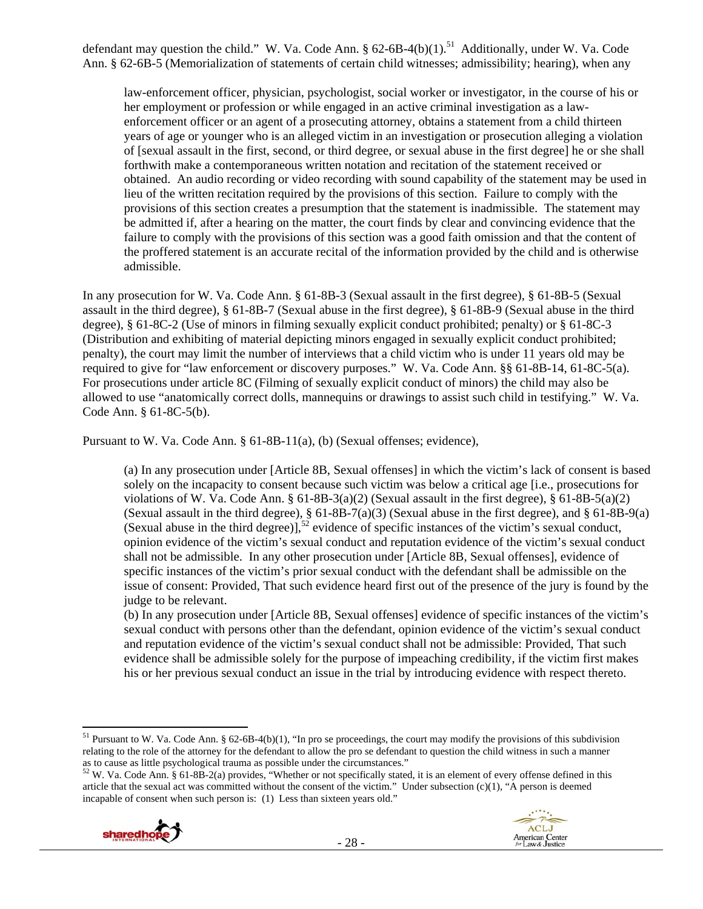defendant may question the child." W. Va. Code Ann.  $\S 62-6B-4(b)(1)$ .<sup>51</sup> Additionally, under W. Va. Code Ann. § 62-6B-5 (Memorialization of statements of certain child witnesses; admissibility; hearing), when any

law-enforcement officer, physician, psychologist, social worker or investigator, in the course of his or her employment or profession or while engaged in an active criminal investigation as a lawenforcement officer or an agent of a prosecuting attorney, obtains a statement from a child thirteen years of age or younger who is an alleged victim in an investigation or prosecution alleging a violation of [sexual assault in the first, second, or third degree, or sexual abuse in the first degree] he or she shall forthwith make a contemporaneous written notation and recitation of the statement received or obtained. An audio recording or video recording with sound capability of the statement may be used in lieu of the written recitation required by the provisions of this section. Failure to comply with the provisions of this section creates a presumption that the statement is inadmissible. The statement may be admitted if, after a hearing on the matter, the court finds by clear and convincing evidence that the failure to comply with the provisions of this section was a good faith omission and that the content of the proffered statement is an accurate recital of the information provided by the child and is otherwise admissible.

In any prosecution for W. Va. Code Ann. § 61-8B-3 (Sexual assault in the first degree), § 61-8B-5 (Sexual assault in the third degree), § 61-8B-7 (Sexual abuse in the first degree), § 61-8B-9 (Sexual abuse in the third degree), § 61-8C-2 (Use of minors in filming sexually explicit conduct prohibited; penalty) or § 61-8C-3 (Distribution and exhibiting of material depicting minors engaged in sexually explicit conduct prohibited; penalty), the court may limit the number of interviews that a child victim who is under 11 years old may be required to give for "law enforcement or discovery purposes." W. Va. Code Ann. §§ 61-8B-14, 61-8C-5(a). For prosecutions under article 8C (Filming of sexually explicit conduct of minors) the child may also be allowed to use "anatomically correct dolls, mannequins or drawings to assist such child in testifying." W. Va. Code Ann. § 61-8C-5(b).

Pursuant to W. Va. Code Ann. § 61-8B-11(a), (b) (Sexual offenses; evidence),

(a) In any prosecution under [Article 8B, Sexual offenses] in which the victim's lack of consent is based solely on the incapacity to consent because such victim was below a critical age [i.e., prosecutions for violations of W. Va. Code Ann.  $\S 61-8B-3(a)(2)$  (Sexual assault in the first degree),  $\S 61-8B-5(a)(2)$ (Sexual assault in the third degree), § 61-8B-7(a)(3) (Sexual abuse in the first degree), and § 61-8B-9(a) (Sexual abuse in the third degree)],<sup>52</sup> evidence of specific instances of the victim's sexual conduct, opinion evidence of the victim's sexual conduct and reputation evidence of the victim's sexual conduct shall not be admissible. In any other prosecution under [Article 8B, Sexual offenses], evidence of specific instances of the victim's prior sexual conduct with the defendant shall be admissible on the issue of consent: Provided, That such evidence heard first out of the presence of the jury is found by the judge to be relevant.

(b) In any prosecution under [Article 8B, Sexual offenses] evidence of specific instances of the victim's sexual conduct with persons other than the defendant, opinion evidence of the victim's sexual conduct and reputation evidence of the victim's sexual conduct shall not be admissible: Provided, That such evidence shall be admissible solely for the purpose of impeaching credibility, if the victim first makes his or her previous sexual conduct an issue in the trial by introducing evidence with respect thereto.

 $52$  W. Va. Code Ann. § 61-8B-2(a) provides, "Whether or not specifically stated, it is an element of every offense defined in this article that the sexual act was committed without the consent of the victim." Under subsection  $(c)(1)$ , "A person is deemed incapable of consent when such person is: (1) Less than sixteen years old."





<sup>&</sup>lt;sup>51</sup> Pursuant to W. Va. Code Ann. § 62-6B-4(b)(1), "In pro se proceedings, the court may modify the provisions of this subdivision relating to the role of the attorney for the defendant to allow the pro se defendant to question the child witness in such a manner as to cause as little psychological trauma as possible under the circumstances."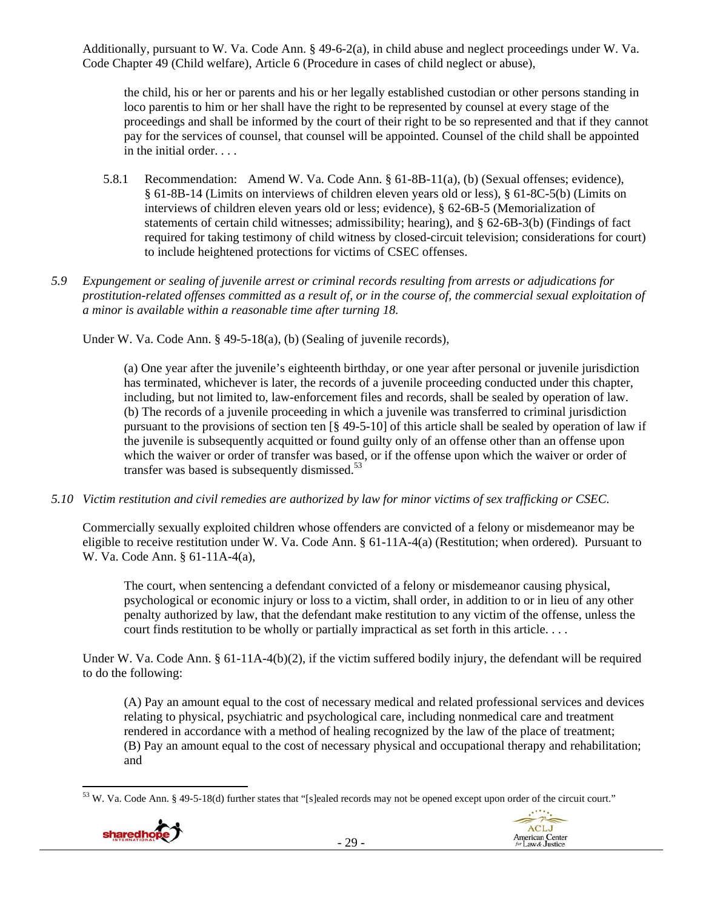Additionally, pursuant to W. Va. Code Ann. § 49-6-2(a), in child abuse and neglect proceedings under W. Va. Code Chapter 49 (Child welfare), Article 6 (Procedure in cases of child neglect or abuse),

the child, his or her or parents and his or her legally established custodian or other persons standing in loco parentis to him or her shall have the right to be represented by counsel at every stage of the proceedings and shall be informed by the court of their right to be so represented and that if they cannot pay for the services of counsel, that counsel will be appointed. Counsel of the child shall be appointed in the initial order. . . .

- 5.8.1 Recommendation: Amend W. Va. Code Ann. § 61-8B-11(a), (b) (Sexual offenses; evidence), § 61-8B-14 (Limits on interviews of children eleven years old or less), § 61-8C-5(b) (Limits on interviews of children eleven years old or less; evidence), § 62-6B-5 (Memorialization of statements of certain child witnesses; admissibility; hearing), and § 62-6B-3(b) (Findings of fact required for taking testimony of child witness by closed-circuit television; considerations for court) to include heightened protections for victims of CSEC offenses.
- *5.9 Expungement or sealing of juvenile arrest or criminal records resulting from arrests or adjudications for prostitution-related offenses committed as a result of, or in the course of, the commercial sexual exploitation of a minor is available within a reasonable time after turning 18.*

Under W. Va. Code Ann. § 49-5-18(a), (b) (Sealing of juvenile records),

(a) One year after the juvenile's eighteenth birthday, or one year after personal or juvenile jurisdiction has terminated, whichever is later, the records of a juvenile proceeding conducted under this chapter, including, but not limited to, law-enforcement files and records, shall be sealed by operation of law. (b) The records of a juvenile proceeding in which a juvenile was transferred to criminal jurisdiction pursuant to the provisions of section ten [§ 49-5-10] of this article shall be sealed by operation of law if the juvenile is subsequently acquitted or found guilty only of an offense other than an offense upon which the waiver or order of transfer was based, or if the offense upon which the waiver or order of transfer was based is subsequently dismissed.<sup>53</sup>

*5.10 Victim restitution and civil remedies are authorized by law for minor victims of sex trafficking or CSEC.* 

Commercially sexually exploited children whose offenders are convicted of a felony or misdemeanor may be eligible to receive restitution under W. Va. Code Ann. § 61-11A-4(a) (Restitution; when ordered). Pursuant to W. Va. Code Ann. § 61-11A-4(a),

The court, when sentencing a defendant convicted of a felony or misdemeanor causing physical, psychological or economic injury or loss to a victim, shall order, in addition to or in lieu of any other penalty authorized by law, that the defendant make restitution to any victim of the offense, unless the court finds restitution to be wholly or partially impractical as set forth in this article. . . .

Under W. Va. Code Ann. § 61-11A-4(b)(2), if the victim suffered bodily injury, the defendant will be required to do the following:

(A) Pay an amount equal to the cost of necessary medical and related professional services and devices relating to physical, psychiatric and psychological care, including nonmedical care and treatment rendered in accordance with a method of healing recognized by the law of the place of treatment; (B) Pay an amount equal to the cost of necessary physical and occupational therapy and rehabilitation; and

 <sup>53</sup> W. Va. Code Ann. § 49-5-18(d) further states that "[s]ealed records may not be opened except upon order of the circuit court."



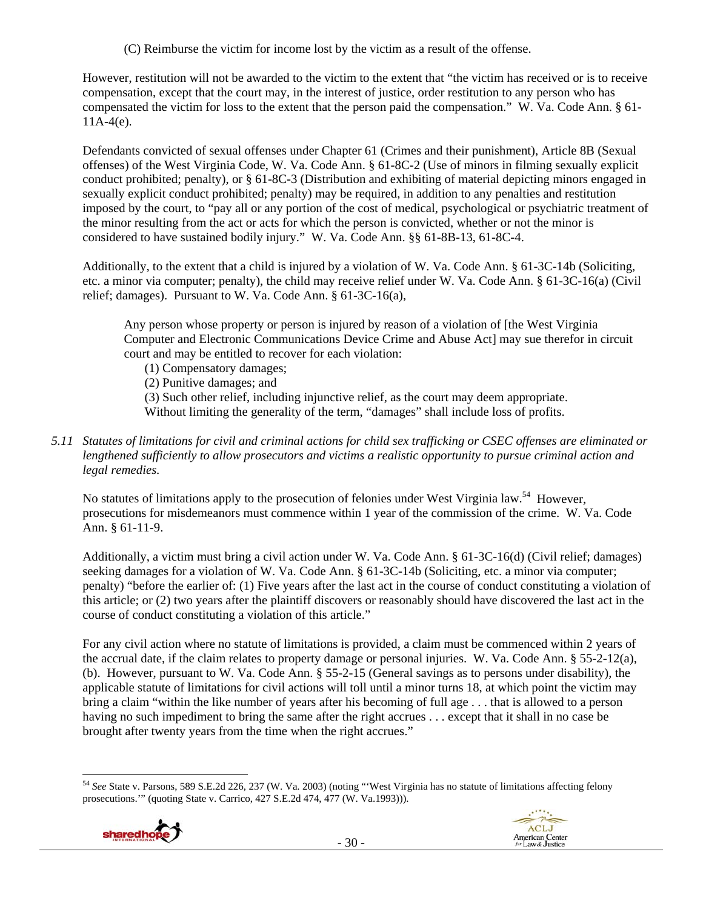(C) Reimburse the victim for income lost by the victim as a result of the offense.

However, restitution will not be awarded to the victim to the extent that "the victim has received or is to receive compensation, except that the court may, in the interest of justice, order restitution to any person who has compensated the victim for loss to the extent that the person paid the compensation." W. Va. Code Ann. § 61-  $11A-4(e)$ .

Defendants convicted of sexual offenses under Chapter 61 (Crimes and their punishment), Article 8B (Sexual offenses) of the West Virginia Code, W. Va. Code Ann. § 61-8C-2 (Use of minors in filming sexually explicit conduct prohibited; penalty), or § 61-8C-3 (Distribution and exhibiting of material depicting minors engaged in sexually explicit conduct prohibited; penalty) may be required, in addition to any penalties and restitution imposed by the court, to "pay all or any portion of the cost of medical, psychological or psychiatric treatment of the minor resulting from the act or acts for which the person is convicted, whether or not the minor is considered to have sustained bodily injury." W. Va. Code Ann. §§ 61-8B-13, 61-8C-4.

Additionally, to the extent that a child is injured by a violation of W. Va. Code Ann. § 61-3C-14b (Soliciting, etc. a minor via computer; penalty), the child may receive relief under W. Va. Code Ann. § 61-3C-16(a) (Civil relief; damages). Pursuant to W. Va. Code Ann. § 61-3C-16(a),

Any person whose property or person is injured by reason of a violation of [the West Virginia Computer and Electronic Communications Device Crime and Abuse Act] may sue therefor in circuit court and may be entitled to recover for each violation:

- (1) Compensatory damages;
- (2) Punitive damages; and

(3) Such other relief, including injunctive relief, as the court may deem appropriate.

Without limiting the generality of the term, "damages" shall include loss of profits.

*5.11 Statutes of limitations for civil and criminal actions for child sex trafficking or CSEC offenses are eliminated or lengthened sufficiently to allow prosecutors and victims a realistic opportunity to pursue criminal action and legal remedies.* 

No statutes of limitations apply to the prosecution of felonies under West Virginia law.<sup>54</sup> However, prosecutions for misdemeanors must commence within 1 year of the commission of the crime. W. Va. Code Ann. § 61-11-9.

Additionally, a victim must bring a civil action under W. Va. Code Ann. § 61-3C-16(d) (Civil relief; damages) seeking damages for a violation of W. Va. Code Ann. § 61-3C-14b (Soliciting, etc. a minor via computer; penalty) "before the earlier of: (1) Five years after the last act in the course of conduct constituting a violation of this article; or (2) two years after the plaintiff discovers or reasonably should have discovered the last act in the course of conduct constituting a violation of this article."

For any civil action where no statute of limitations is provided, a claim must be commenced within 2 years of the accrual date, if the claim relates to property damage or personal injuries. W. Va. Code Ann. § 55-2-12(a), (b). However, pursuant to W. Va. Code Ann. § 55-2-15 (General savings as to persons under disability), the applicable statute of limitations for civil actions will toll until a minor turns 18, at which point the victim may bring a claim "within the like number of years after his becoming of full age . . . that is allowed to a person having no such impediment to bring the same after the right accrues . . . except that it shall in no case be brought after twenty years from the time when the right accrues."

 <sup>54</sup> *See* State v. Parsons, 589 S.E.2d 226, 237 (W. Va. 2003) (noting "'West Virginia has no statute of limitations affecting felony prosecutions.'" (quoting State v. Carrico, 427 S.E.2d 474, 477 (W. Va.1993))).

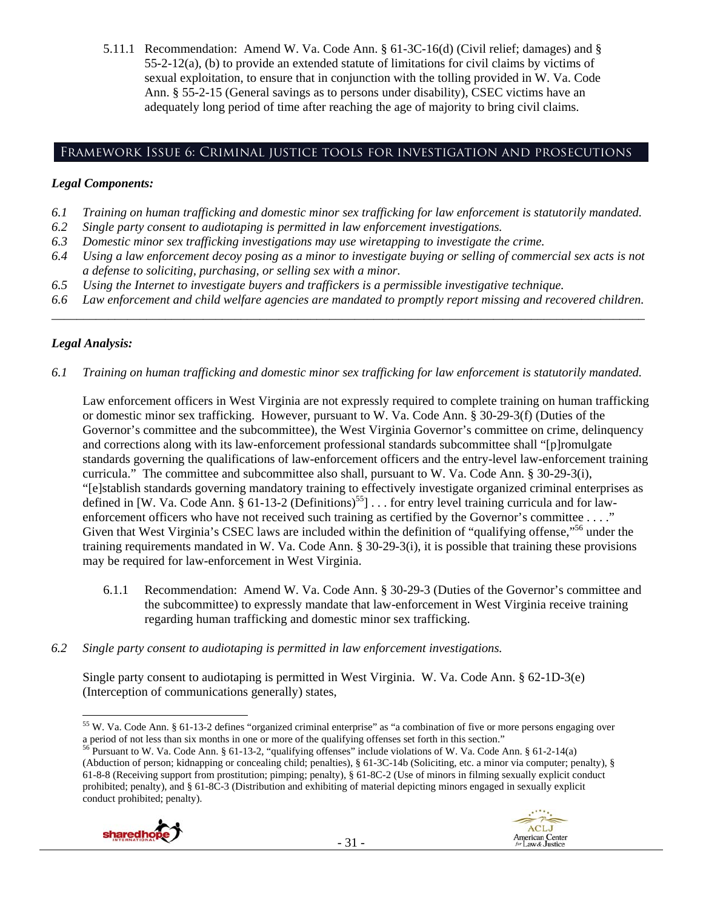5.11.1 Recommendation: Amend W. Va. Code Ann. § 61-3C-16(d) (Civil relief; damages) and §  $55-2-12(a)$ , (b) to provide an extended statute of limitations for civil claims by victims of sexual exploitation, to ensure that in conjunction with the tolling provided in W. Va. Code Ann. § 55-2-15 (General savings as to persons under disability), CSEC victims have an adequately long period of time after reaching the age of majority to bring civil claims.

# Framework Issue 6: Criminal justice tools for investigation and prosecutions

# *Legal Components:*

- *6.1 Training on human trafficking and domestic minor sex trafficking for law enforcement is statutorily mandated.*
- *6.2 Single party consent to audiotaping is permitted in law enforcement investigations.*
- *6.3 Domestic minor sex trafficking investigations may use wiretapping to investigate the crime.*
- *6.4 Using a law enforcement decoy posing as a minor to investigate buying or selling of commercial sex acts is not a defense to soliciting, purchasing, or selling sex with a minor.*
- *6.5 Using the Internet to investigate buyers and traffickers is a permissible investigative technique.*
- *6.6 Law enforcement and child welfare agencies are mandated to promptly report missing and recovered children. \_\_\_\_\_\_\_\_\_\_\_\_\_\_\_\_\_\_\_\_\_\_\_\_\_\_\_\_\_\_\_\_\_\_\_\_\_\_\_\_\_\_\_\_\_\_\_\_\_\_\_\_\_\_\_\_\_\_\_\_\_\_\_\_\_\_\_\_\_\_\_\_\_\_\_\_\_\_\_\_\_\_\_\_\_\_\_\_\_\_\_\_\_\_*

# *Legal Analysis:*

*6.1 Training on human trafficking and domestic minor sex trafficking for law enforcement is statutorily mandated.*

Law enforcement officers in West Virginia are not expressly required to complete training on human trafficking or domestic minor sex trafficking. However, pursuant to W. Va. Code Ann. § 30-29-3(f) (Duties of the Governor's committee and the subcommittee), the West Virginia Governor's committee on crime, delinquency and corrections along with its law-enforcement professional standards subcommittee shall "[p]romulgate standards governing the qualifications of law-enforcement officers and the entry-level law-enforcement training curricula." The committee and subcommittee also shall, pursuant to W. Va. Code Ann. § 30-29-3(i), "[e]stablish standards governing mandatory training to effectively investigate organized criminal enterprises as defined in [W. Va. Code Ann.  $\S$  61-13-2 (Definitions)<sup>55</sup>] . . . for entry level training curricula and for lawenforcement officers who have not received such training as certified by the Governor's committee . . . ." Given that West Virginia's CSEC laws are included within the definition of "qualifying offense,"<sup>56</sup> under the training requirements mandated in W. Va. Code Ann. § 30-29-3(i), it is possible that training these provisions may be required for law-enforcement in West Virginia.

- 6.1.1 Recommendation: Amend W. Va. Code Ann. § 30-29-3 (Duties of the Governor's committee and the subcommittee) to expressly mandate that law-enforcement in West Virginia receive training regarding human trafficking and domestic minor sex trafficking.
- *6.2 Single party consent to audiotaping is permitted in law enforcement investigations.*

Single party consent to audiotaping is permitted in West Virginia. W. Va. Code Ann. § 62-1D-3(e) (Interception of communications generally) states,

<sup>(</sup>Abduction of person; kidnapping or concealing child; penalties), § 61-3C-14b (Soliciting, etc. a minor via computer; penalty), § 61-8-8 (Receiving support from prostitution; pimping; penalty), § 61-8C-2 (Use of minors in filming sexually explicit conduct prohibited; penalty), and § 61-8C-3 (Distribution and exhibiting of material depicting minors engaged in sexually explicit conduct prohibited; penalty).





<sup>&</sup>lt;sup>55</sup> W. Va. Code Ann. § 61-13-2 defines "organized criminal enterprise" as "a combination of five or more persons engaging over a period of not less than six months in one or more of the qualifying offenses set forth in this section."<br><sup>56</sup> Pursuant to W. Va. Code Ann. § 61-13-2, "qualifying offenses" include violations of W. Va. Code Ann. § 61-2-14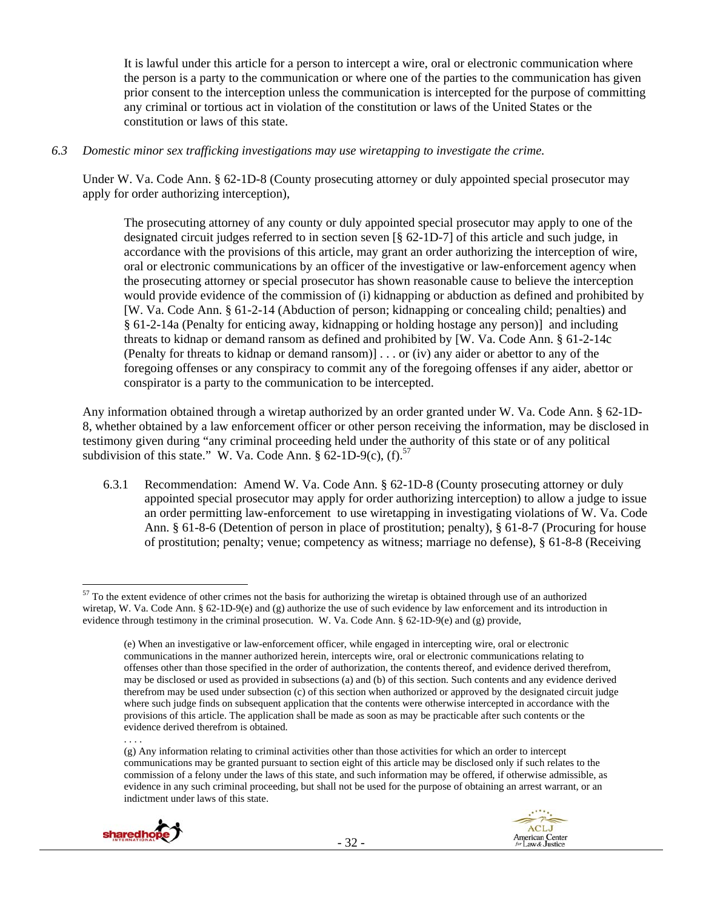It is lawful under this article for a person to intercept a wire, oral or electronic communication where the person is a party to the communication or where one of the parties to the communication has given prior consent to the interception unless the communication is intercepted for the purpose of committing any criminal or tortious act in violation of the constitution or laws of the United States or the constitution or laws of this state.

*6.3 Domestic minor sex trafficking investigations may use wiretapping to investigate the crime.* 

Under W. Va. Code Ann. § 62-1D-8 (County prosecuting attorney or duly appointed special prosecutor may apply for order authorizing interception),

The prosecuting attorney of any county or duly appointed special prosecutor may apply to one of the designated circuit judges referred to in section seven [§ 62-1D-7] of this article and such judge, in accordance with the provisions of this article, may grant an order authorizing the interception of wire, oral or electronic communications by an officer of the investigative or law-enforcement agency when the prosecuting attorney or special prosecutor has shown reasonable cause to believe the interception would provide evidence of the commission of (i) kidnapping or abduction as defined and prohibited by [W. Va. Code Ann. § 61-2-14 (Abduction of person; kidnapping or concealing child; penalties) and § 61-2-14a (Penalty for enticing away, kidnapping or holding hostage any person)] and including threats to kidnap or demand ransom as defined and prohibited by [W. Va. Code Ann. § 61-2-14c (Penalty for threats to kidnap or demand ransom)] . . . or (iv) any aider or abettor to any of the foregoing offenses or any conspiracy to commit any of the foregoing offenses if any aider, abettor or conspirator is a party to the communication to be intercepted.

Any information obtained through a wiretap authorized by an order granted under W. Va. Code Ann. § 62-1D-8, whether obtained by a law enforcement officer or other person receiving the information, may be disclosed in testimony given during "any criminal proceeding held under the authority of this state or of any political subdivision of this state." W. Va. Code Ann.  $\S 62$ -1D-9(c), (f).<sup>57</sup>

6.3.1 Recommendation: Amend W. Va. Code Ann. § 62-1D-8 (County prosecuting attorney or duly appointed special prosecutor may apply for order authorizing interception) to allow a judge to issue an order permitting law-enforcement to use wiretapping in investigating violations of W. Va. Code Ann. § 61-8-6 (Detention of person in place of prostitution; penalty), § 61-8-7 (Procuring for house of prostitution; penalty; venue; competency as witness; marriage no defense), § 61-8-8 (Receiving

<sup>(</sup>g) Any information relating to criminal activities other than those activities for which an order to intercept communications may be granted pursuant to section eight of this article may be disclosed only if such relates to the commission of a felony under the laws of this state, and such information may be offered, if otherwise admissible, as evidence in any such criminal proceeding, but shall not be used for the purpose of obtaining an arrest warrant, or an indictment under laws of this state.





  $57$  To the extent evidence of other crimes not the basis for authorizing the wiretap is obtained through use of an authorized wiretap, W. Va. Code Ann. § 62-1D-9(e) and (g) authorize the use of such evidence by law enforcement and its introduction in evidence through testimony in the criminal prosecution. W. Va. Code Ann. § 62-1D-9(e) and (g) provide,

<sup>(</sup>e) When an investigative or law-enforcement officer, while engaged in intercepting wire, oral or electronic communications in the manner authorized herein, intercepts wire, oral or electronic communications relating to offenses other than those specified in the order of authorization, the contents thereof, and evidence derived therefrom, may be disclosed or used as provided in subsections (a) and (b) of this section. Such contents and any evidence derived therefrom may be used under subsection (c) of this section when authorized or approved by the designated circuit judge where such judge finds on subsequent application that the contents were otherwise intercepted in accordance with the provisions of this article. The application shall be made as soon as may be practicable after such contents or the evidence derived therefrom is obtained.

<sup>. . . .</sup>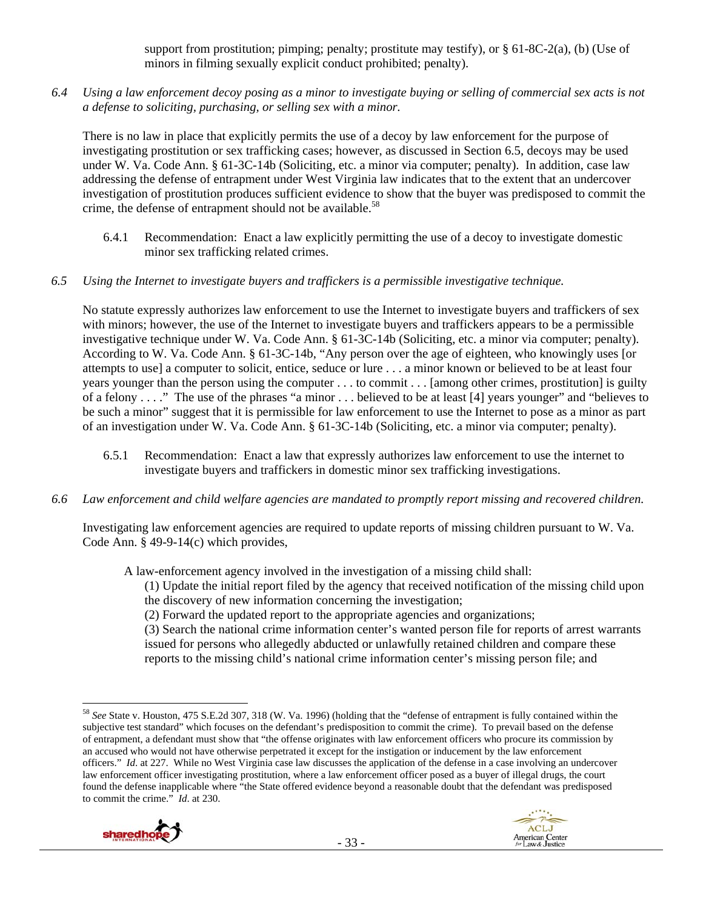support from prostitution; pimping; penalty; prostitute may testify), or  $\S 61-8C-2(a)$ , (b) (Use of minors in filming sexually explicit conduct prohibited; penalty).

*6.4 Using a law enforcement decoy posing as a minor to investigate buying or selling of commercial sex acts is not a defense to soliciting, purchasing, or selling sex with a minor.* 

There is no law in place that explicitly permits the use of a decoy by law enforcement for the purpose of investigating prostitution or sex trafficking cases; however, as discussed in Section 6.5, decoys may be used under W. Va. Code Ann. § 61-3C-14b (Soliciting, etc. a minor via computer; penalty). In addition, case law addressing the defense of entrapment under West Virginia law indicates that to the extent that an undercover investigation of prostitution produces sufficient evidence to show that the buyer was predisposed to commit the crime, the defense of entrapment should not be available.<sup>58</sup>

6.4.1 Recommendation: Enact a law explicitly permitting the use of a decoy to investigate domestic minor sex trafficking related crimes.

## *6.5 Using the Internet to investigate buyers and traffickers is a permissible investigative technique.*

No statute expressly authorizes law enforcement to use the Internet to investigate buyers and traffickers of sex with minors; however, the use of the Internet to investigate buyers and traffickers appears to be a permissible investigative technique under W. Va. Code Ann. § 61-3C-14b (Soliciting, etc. a minor via computer; penalty). According to W. Va. Code Ann. § 61-3C-14b, "Any person over the age of eighteen, who knowingly uses [or attempts to use] a computer to solicit, entice, seduce or lure . . . a minor known or believed to be at least four years younger than the person using the computer . . . to commit . . . [among other crimes, prostitution] is guilty of a felony . . . ." The use of the phrases "a minor . . . believed to be at least [4] years younger" and "believes to be such a minor" suggest that it is permissible for law enforcement to use the Internet to pose as a minor as part of an investigation under W. Va. Code Ann. § 61-3C-14b (Soliciting, etc. a minor via computer; penalty).

- 6.5.1 Recommendation: Enact a law that expressly authorizes law enforcement to use the internet to investigate buyers and traffickers in domestic minor sex trafficking investigations.
- *6.6 Law enforcement and child welfare agencies are mandated to promptly report missing and recovered children.*

Investigating law enforcement agencies are required to update reports of missing children pursuant to W. Va. Code Ann. § 49-9-14(c) which provides,

A law-enforcement agency involved in the investigation of a missing child shall:

(1) Update the initial report filed by the agency that received notification of the missing child upon the discovery of new information concerning the investigation;

(2) Forward the updated report to the appropriate agencies and organizations;

(3) Search the national crime information center's wanted person file for reports of arrest warrants issued for persons who allegedly abducted or unlawfully retained children and compare these reports to the missing child's national crime information center's missing person file; and

<sup>58</sup> *See* State v. Houston, 475 S.E.2d 307, 318 (W. Va. 1996) (holding that the "defense of entrapment is fully contained within the subjective test standard" which focuses on the defendant's predisposition to commit the crime). To prevail based on the defense of entrapment, a defendant must show that "the offense originates with law enforcement officers who procure its commission by an accused who would not have otherwise perpetrated it except for the instigation or inducement by the law enforcement officers." *Id*. at 227. While no West Virginia case law discusses the application of the defense in a case involving an undercover law enforcement officer investigating prostitution, where a law enforcement officer posed as a buyer of illegal drugs, the court found the defense inapplicable where "the State offered evidence beyond a reasonable doubt that the defendant was predisposed to commit the crime." *Id*. at 230.



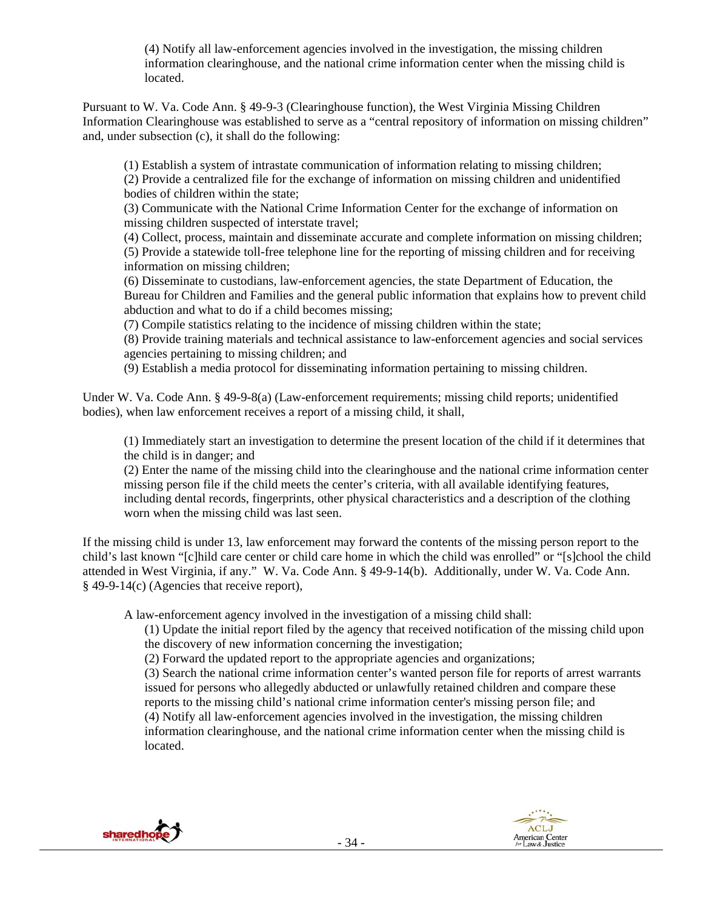(4) Notify all law-enforcement agencies involved in the investigation, the missing children information clearinghouse, and the national crime information center when the missing child is located.

Pursuant to W. Va. Code Ann. § 49-9-3 (Clearinghouse function), the West Virginia Missing Children Information Clearinghouse was established to serve as a "central repository of information on missing children" and, under subsection (c), it shall do the following:

(1) Establish a system of intrastate communication of information relating to missing children; (2) Provide a centralized file for the exchange of information on missing children and unidentified bodies of children within the state;

(3) Communicate with the National Crime Information Center for the exchange of information on missing children suspected of interstate travel;

(4) Collect, process, maintain and disseminate accurate and complete information on missing children; (5) Provide a statewide toll-free telephone line for the reporting of missing children and for receiving information on missing children;

(6) Disseminate to custodians, law-enforcement agencies, the state Department of Education, the Bureau for Children and Families and the general public information that explains how to prevent child abduction and what to do if a child becomes missing;

(7) Compile statistics relating to the incidence of missing children within the state;

(8) Provide training materials and technical assistance to law-enforcement agencies and social services agencies pertaining to missing children; and

(9) Establish a media protocol for disseminating information pertaining to missing children.

Under W. Va. Code Ann. § 49-9-8(a) (Law-enforcement requirements; missing child reports; unidentified bodies), when law enforcement receives a report of a missing child, it shall,

(1) Immediately start an investigation to determine the present location of the child if it determines that the child is in danger; and

(2) Enter the name of the missing child into the clearinghouse and the national crime information center missing person file if the child meets the center's criteria, with all available identifying features, including dental records, fingerprints, other physical characteristics and a description of the clothing worn when the missing child was last seen.

If the missing child is under 13, law enforcement may forward the contents of the missing person report to the child's last known "[c]hild care center or child care home in which the child was enrolled" or "[s]chool the child attended in West Virginia, if any." W. Va. Code Ann. § 49-9-14(b). Additionally, under W. Va. Code Ann. § 49-9-14(c) (Agencies that receive report),

A law-enforcement agency involved in the investigation of a missing child shall:

(1) Update the initial report filed by the agency that received notification of the missing child upon the discovery of new information concerning the investigation;

(2) Forward the updated report to the appropriate agencies and organizations;

(3) Search the national crime information center's wanted person file for reports of arrest warrants issued for persons who allegedly abducted or unlawfully retained children and compare these reports to the missing child's national crime information center's missing person file; and (4) Notify all law-enforcement agencies involved in the investigation, the missing children information clearinghouse, and the national crime information center when the missing child is located.